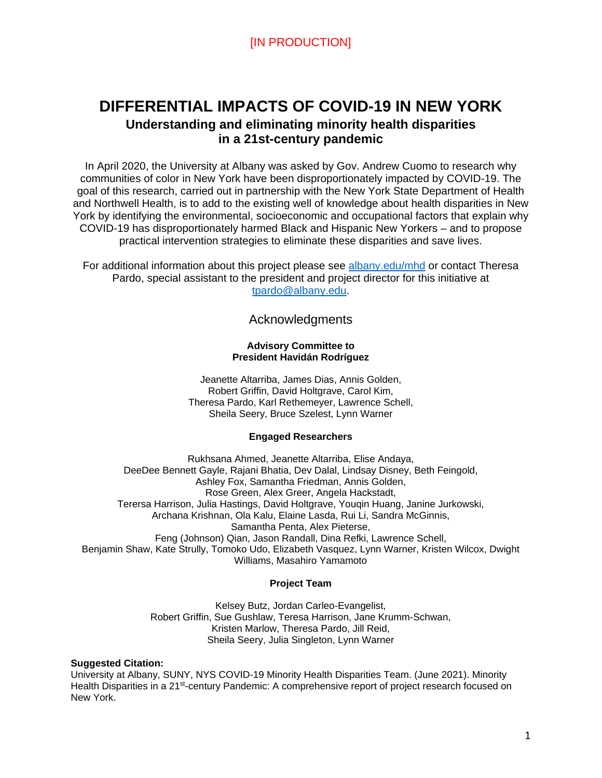# **DIFFERENTIAL IMPACTS OF COVID-19 IN NEW YORK Understanding and eliminating minority health disparities in a 21st-century pandemic**

In April 2020, the University at Albany was asked by Gov. Andrew Cuomo to research why communities of color in New York have been disproportionately impacted by COVID-19. The goal of this research, carried out in partnership with the New York State Department of Health and Northwell Health, is to add to the existing well of knowledge about health disparities in New York by identifying the environmental, socioeconomic and occupational factors that explain why COVID-19 has disproportionately harmed Black and Hispanic New Yorkers – and to propose practical intervention strategies to eliminate these disparities and save lives.

For additional information about this project please see [albany.edu/mhd](https://www.albany.edu/mhd) or contact Theresa Pardo, special assistant to the president and project director for this initiative at tpardo@albany.edu.

Acknowledgments

#### **Advisory Committee to President Havidán Rodríguez**

Jeanette Altarriba, James Dias, Annis Golden, Robert Griffin, David Holtgrave, Carol Kim, Theresa Pardo, Karl Rethemeyer, Lawrence Schell, Sheila Seery, Bruce Szelest, Lynn Warner

#### **Engaged Researchers**

Rukhsana Ahmed, Jeanette Altarriba, Elise Andaya, DeeDee Bennett Gayle, Rajani Bhatia, Dev Dalal, Lindsay Disney, Beth Feingold, Ashley Fox, Samantha Friedman, Annis Golden, Rose Green, Alex Greer, Angela Hackstadt, Terersa Harrison, Julia Hastings, David Holtgrave, Youqin Huang, Janine Jurkowski, Archana Krishnan, Ola Kalu, Elaine Lasda, Rui Li, Sandra McGinnis, Samantha Penta, Alex Pieterse, Feng (Johnson) Qian, Jason Randall, Dina Refki, Lawrence Schell, Benjamin Shaw, Kate Strully, Tomoko Udo, Elizabeth Vasquez, Lynn Warner, Kristen Wilcox, Dwight Williams, Masahiro Yamamoto

#### **Project Team**

Kelsey Butz, Jordan Carleo-Evangelist, Robert Griffin, Sue Gushlaw, Teresa Harrison, Jane Krumm-Schwan, Kristen Marlow, Theresa Pardo, Jill Reid, Sheila Seery, Julia Singleton, Lynn Warner

#### **Suggested Citation:**

University at Albany, SUNY, NYS COVID-19 Minority Health Disparities Team. (June 2021). Minority Health Disparities in a 21<sup>st</sup>-century Pandemic: A comprehensive report of project research focused on New York.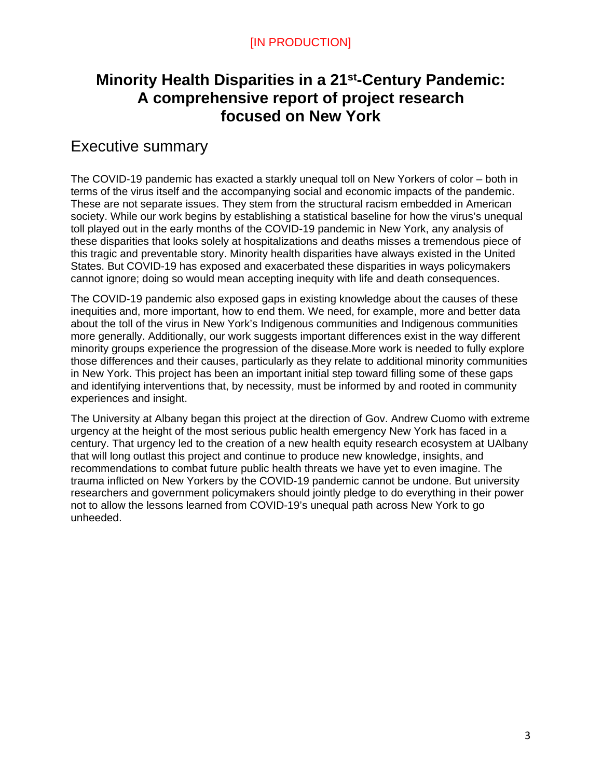# **Minority Health Disparities in a 21st-Century Pandemic: A comprehensive report of project research focused on New York**

# Executive summary

The COVID-19 pandemic has exacted a starkly unequal toll on New Yorkers of color – both in terms of the virus itself and the accompanying social and economic impacts of the pandemic. These are not separate issues. They stem from the structural racism embedded in American society. While our work begins by establishing a statistical baseline for how the virus's unequal toll played out in the early months of the COVID-19 pandemic in New York, any analysis of these disparities that looks solely at hospitalizations and deaths misses a tremendous piece of this tragic and preventable story. Minority health disparities have always existed in the United States. But COVID-19 has exposed and exacerbated these disparities in ways policymakers cannot ignore; doing so would mean accepting inequity with life and death consequences.

The COVID-19 pandemic also exposed gaps in existing knowledge about the causes of these inequities and, more important, how to end them. We need, for example, more and better data about the toll of the virus in New York's Indigenous communities and Indigenous communities more generally. Additionally, our work suggests important differences exist in the way different minority groups experience the progression of the disease.More work is needed to fully explore those differences and their causes, particularly as they relate to additional minority communities in New York. This project has been an important initial step toward filling some of these gaps and identifying interventions that, by necessity, must be informed by and rooted in community experiences and insight.

The University at Albany began this project at the direction of Gov. Andrew Cuomo with extreme urgency at the height of the most serious public health emergency New York has faced in a century. That urgency led to the creation of a new health equity research ecosystem at UAlbany that will long outlast this project and continue to produce new knowledge, insights, and recommendations to combat future public health threats we have yet to even imagine. The trauma inflicted on New Yorkers by the COVID-19 pandemic cannot be undone. But university researchers and government policymakers should jointly pledge to do everything in their power not to allow the lessons learned from COVID-19's unequal path across New York to go unheeded.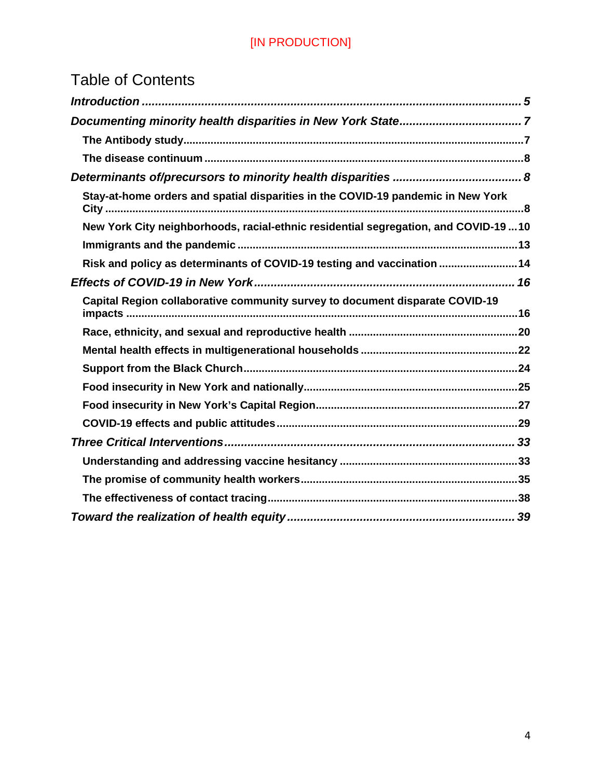# Table of Contents

| Stay-at-home orders and spatial disparities in the COVID-19 pandemic in New York     |
|--------------------------------------------------------------------------------------|
| New York City neighborhoods, racial-ethnic residential segregation, and COVID-19  10 |
|                                                                                      |
| Risk and policy as determinants of COVID-19 testing and vaccination  14              |
|                                                                                      |
| Capital Region collaborative community survey to document disparate COVID-19         |
|                                                                                      |
|                                                                                      |
|                                                                                      |
|                                                                                      |
|                                                                                      |
|                                                                                      |
|                                                                                      |
|                                                                                      |
|                                                                                      |
|                                                                                      |
|                                                                                      |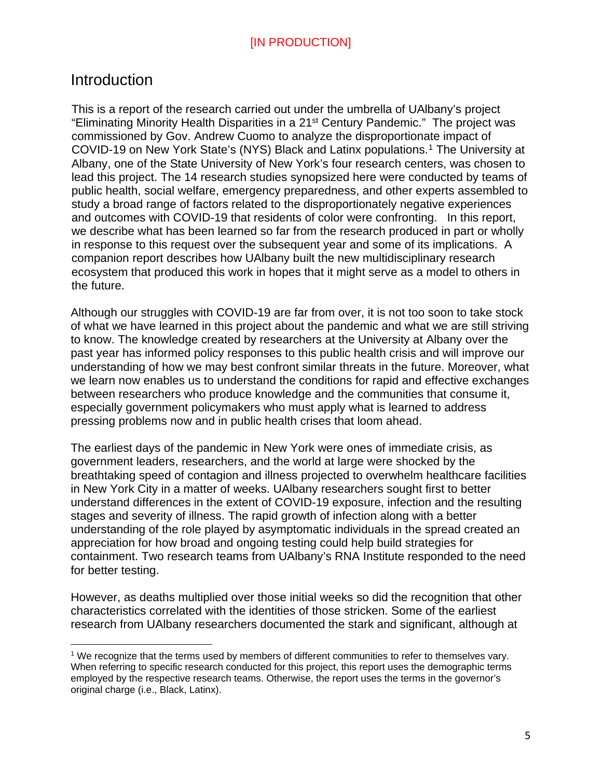# <span id="page-4-0"></span>Introduction

 $\overline{a}$ 

This is a report of the research carried out under the umbrella of UAlbany's project "Eliminating Minority Health Disparities in a 21st Century Pandemic." The project was commissioned by Gov. Andrew Cuomo to analyze the disproportionate impact of COVID-19 on New York State's (NYS) Black and Latinx populations.[1](#page-4-1) The University at Albany, one of the State University of New York's four research centers, was chosen to lead this project. The 14 research studies synopsized here were conducted by teams of public health, social welfare, emergency preparedness, and other experts assembled to study a broad range of factors related to the disproportionately negative experiences and outcomes with COVID-19 that residents of color were confronting. In this report, we describe what has been learned so far from the research produced in part or wholly in response to this request over the subsequent year and some of its implications. A companion report describes how UAlbany built the new multidisciplinary research ecosystem that produced this work in hopes that it might serve as a model to others in the future.

Although our struggles with COVID-19 are far from over, it is not too soon to take stock of what we have learned in this project about the pandemic and what we are still striving to know. The knowledge created by researchers at the University at Albany over the past year has informed policy responses to this public health crisis and will improve our understanding of how we may best confront similar threats in the future. Moreover, what we learn now enables us to understand the conditions for rapid and effective exchanges between researchers who produce knowledge and the communities that consume it, especially government policymakers who must apply what is learned to address pressing problems now and in public health crises that loom ahead.

The earliest days of the pandemic in New York were ones of immediate crisis, as government leaders, researchers, and the world at large were shocked by the breathtaking speed of contagion and illness projected to overwhelm healthcare facilities in New York City in a matter of weeks. UAlbany researchers sought first to better understand differences in the extent of COVID-19 exposure, infection and the resulting stages and severity of illness. The rapid growth of infection along with a better understanding of the role played by asymptomatic individuals in the spread created an appreciation for how broad and ongoing testing could help build strategies for containment. Two research teams from UAlbany's RNA Institute responded to the need for better testing.

However, as deaths multiplied over those initial weeks so did the recognition that other characteristics correlated with the identities of those stricken. Some of the earliest research from UAlbany researchers documented the stark and significant, although at

<span id="page-4-1"></span><sup>1</sup> We recognize that the terms used by members of different communities to refer to themselves vary. When referring to specific research conducted for this project, this report uses the demographic terms employed by the respective research teams. Otherwise, the report uses the terms in the governor's original charge (i.e., Black, Latinx).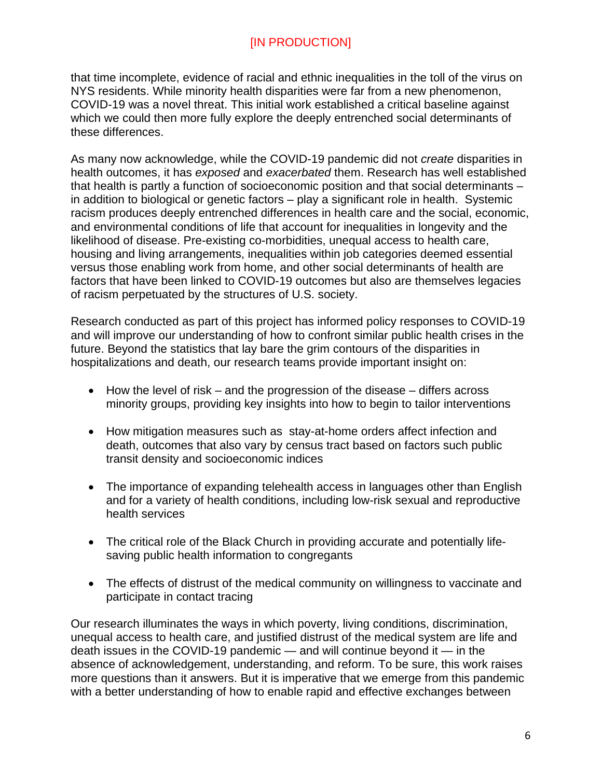that time incomplete, evidence of racial and ethnic inequalities in the toll of the virus on NYS residents. While minority health disparities were far from a new phenomenon, COVID-19 was a novel threat. This initial work established a critical baseline against which we could then more fully explore the deeply entrenched social determinants of these differences.

As many now acknowledge, while the COVID-19 pandemic did not *create* disparities in health outcomes, it has *exposed* and *exacerbated* them. Research has well established that health is partly a function of socioeconomic position and that social determinants – in addition to biological or genetic factors – play a significant role in health. Systemic racism produces deeply entrenched differences in health care and the social, economic, and environmental conditions of life that account for inequalities in longevity and the likelihood of disease. Pre-existing co-morbidities, unequal access to health care, housing and living arrangements, inequalities within job categories deemed essential versus those enabling work from home, and other social determinants of health are factors that have been linked to COVID-19 outcomes but also are themselves legacies of racism perpetuated by the structures of U.S. society.

Research conducted as part of this project has informed policy responses to COVID-19 and will improve our understanding of how to confront similar public health crises in the future. Beyond the statistics that lay bare the grim contours of the disparities in hospitalizations and death, our research teams provide important insight on:

- How the level of risk and the progression of the disease differs across minority groups, providing key insights into how to begin to tailor interventions
- How mitigation measures such as stay-at-home orders affect infection and death, outcomes that also vary by census tract based on factors such public transit density and socioeconomic indices
- The importance of expanding telehealth access in languages other than English and for a variety of health conditions, including low-risk sexual and reproductive health services
- The critical role of the Black Church in providing accurate and potentially lifesaving public health information to congregants
- The effects of distrust of the medical community on willingness to vaccinate and participate in contact tracing

Our research illuminates the ways in which poverty, living conditions, discrimination, unequal access to health care, and justified distrust of the medical system are life and death issues in the COVID-19 pandemic — and will continue beyond it — in the absence of acknowledgement, understanding, and reform. To be sure, this work raises more questions than it answers. But it is imperative that we emerge from this pandemic with a better understanding of how to enable rapid and effective exchanges between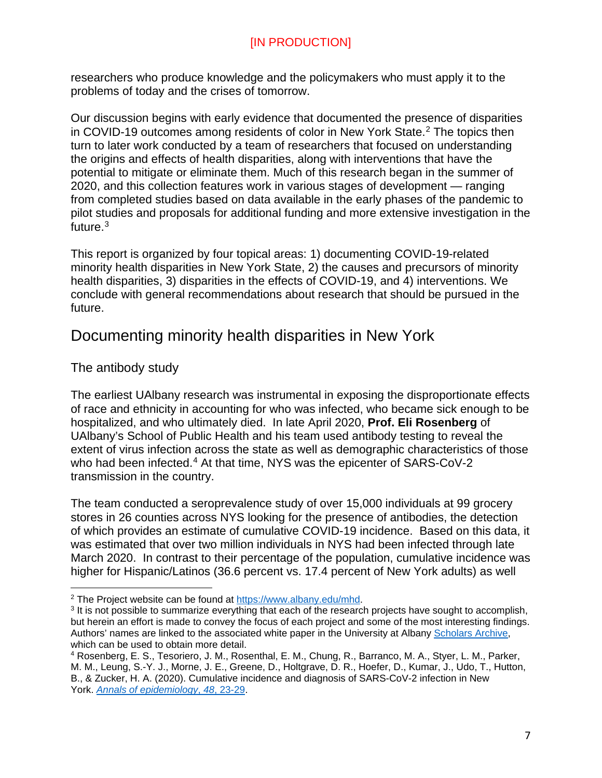researchers who produce knowledge and the policymakers who must apply it to the problems of today and the crises of tomorrow.

Our discussion begins with early evidence that documented the presence of disparities in COVID-19 outcomes among residents of color in New York State. [2](#page-6-2) The topics then turn to later work conducted by a team of researchers that focused on understanding the origins and effects of health disparities, along with interventions that have the potential to mitigate or eliminate them. Much of this research began in the summer of 2020, and this collection features work in various stages of development — ranging from completed studies based on data available in the early phases of the pandemic to pilot studies and proposals for additional funding and more extensive investigation in the future[.3](#page-6-3)

This report is organized by four topical areas: 1) documenting COVID-19-related minority health disparities in New York State, 2) the causes and precursors of minority health disparities, 3) disparities in the effects of COVID-19, and 4) interventions. We conclude with general recommendations about research that should be pursued in the future.

# <span id="page-6-0"></span>Documenting minority health disparities in New York

# <span id="page-6-1"></span>The antibody study

The earliest UAlbany research was instrumental in exposing the disproportionate effects of race and ethnicity in accounting for who was infected, who became sick enough to be hospitalized, and who ultimately died. In late April 2020, **Prof. Eli Rosenberg** of UAlbany's School of Public Health and his team used antibody testing to reveal the extent of virus infection across the state as well as demographic characteristics of those who had been infected.<sup>[4](#page-6-4)</sup> At that time, NYS was the epicenter of SARS-CoV-2 transmission in the country.

The team conducted a seroprevalence study of over 15,000 individuals at 99 grocery stores in 26 counties across NYS looking for the presence of antibodies, the detection of which provides an estimate of cumulative COVID-19 incidence. Based on this data, it was estimated that over two million individuals in NYS had been infected through late March 2020. In contrast to their percentage of the population, cumulative incidence was higher for Hispanic/Latinos (36.6 percent vs. 17.4 percent of New York adults) as well

 $\overline{a}$ 

<span id="page-6-3"></span><span id="page-6-2"></span><sup>&</sup>lt;sup>2</sup> The Project website can be found at  $\frac{https://www.albany.edu/mhd}{https://www.albany.edu/mhd}.$ <br><sup>3</sup> It is not possible to summarize everything that each of the research projects have sought to accomplish, but herein an effort is made to convey the focus of each project and some of the most interesting findings. Authors' names are linked to the associated white paper in the University at Albany [Scholars Archive,](https://scholarsarchive.library.albany.edu/covid_mhd_nys_white_papers/) which can be used to obtain more detail.

<span id="page-6-4"></span><sup>4</sup> Rosenberg, E. S., Tesoriero, J. M., Rosenthal, E. M., Chung, R., Barranco, M. A., Styer, L. M., Parker, M. M., Leung, S.-Y. J., Morne, J. E., Greene, D., Holtgrave, D. R., Hoefer, D., Kumar, J., Udo, T., Hutton, B., & Zucker, H. A. (2020). Cumulative incidence and diagnosis of SARS-CoV-2 infection in New York. *[Annals of epidemiology](https://www.sciencedirect.com/science/article/abs/pii/S1047279720302015?via%3Dihub)*, *48*, 23-29.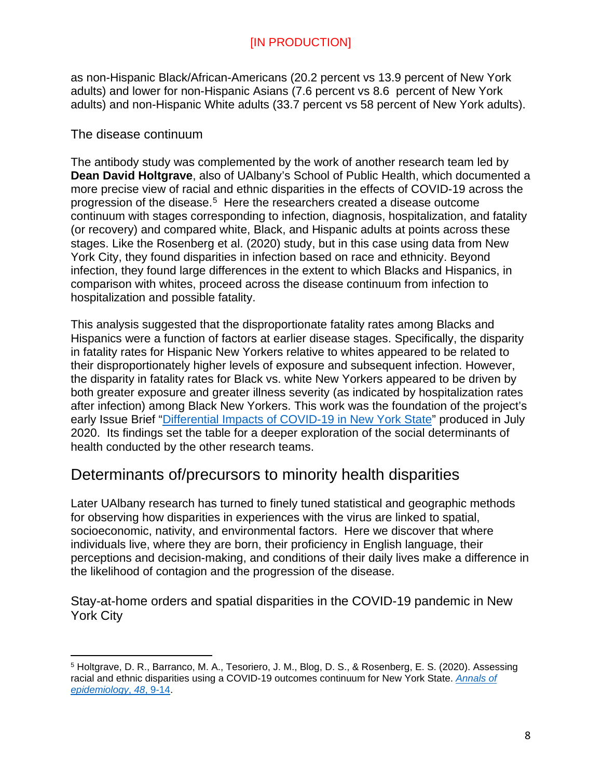as non-Hispanic Black/African-Americans (20.2 percent vs 13.9 percent of New York adults) and lower for non-Hispanic Asians (7.6 percent vs 8.6 percent of New York adults) and non-Hispanic White adults (33.7 percent vs 58 percent of New York adults).

# <span id="page-7-0"></span>The disease continuum

 $\overline{a}$ 

The antibody study was complemented by the work of another research team led by **Dean David Holtgrave**, also of UAlbany's School of Public Health, which documented a more precise view of racial and ethnic disparities in the effects of COVID-19 across the progression of the disease. [5](#page-7-3) Here the researchers created a disease outcome continuum with stages corresponding to infection, diagnosis, hospitalization, and fatality (or recovery) and compared white, Black, and Hispanic adults at points across these stages. Like the Rosenberg et al. (2020) study, but in this case using data from New York City, they found disparities in infection based on race and ethnicity. Beyond infection, they found large differences in the extent to which Blacks and Hispanics, in comparison with whites, proceed across the disease continuum from infection to hospitalization and possible fatality.

This analysis suggested that the disproportionate fatality rates among Blacks and Hispanics were a function of factors at earlier disease stages. Specifically, the disparity in fatality rates for Hispanic New Yorkers relative to whites appeared to be related to their disproportionately higher levels of exposure and subsequent infection. However, the disparity in fatality rates for Black vs. white New Yorkers appeared to be driven by both greater exposure and greater illness severity (as indicated by hospitalization rates after infection) among Black New Yorkers. This work was the foundation of the project's early Issue Brief ["Differential Impacts of COVID-19 in New York State"](https://www.albany.edu/communicationsmarketing/covid-19-documents/Racial%20Disparities%20in%20COVID-19%20Bonus%20Briefing%20Paper%5b2%5d.pdf) produced in July 2020. Its findings set the table for a deeper exploration of the social determinants of health conducted by the other research teams.

# <span id="page-7-1"></span>Determinants of/precursors to minority health disparities

Later UAlbany research has turned to finely tuned statistical and geographic methods for observing how disparities in experiences with the virus are linked to spatial, socioeconomic, nativity, and environmental factors. Here we discover that where individuals live, where they are born, their proficiency in English language, their perceptions and decision-making, and conditions of their daily lives make a difference in the likelihood of contagion and the progression of the disease.

<span id="page-7-2"></span>Stay-at-home orders and spatial disparities in the COVID-19 pandemic in New York City

<span id="page-7-3"></span><sup>5</sup> Holtgrave, D. R., Barranco, M. A., Tesoriero, J. M., Blog, D. S., & Rosenberg, E. S. (2020). Assessing racial and ethnic disparities using a COVID-19 outcomes continuum for New York State. *[Annals of](https://www.sciencedirect.com/science/article/abs/pii/S1047279720302076?via%3Dihub)  [epidemiology](https://www.sciencedirect.com/science/article/abs/pii/S1047279720302076?via%3Dihub)*, *48*, 9-14.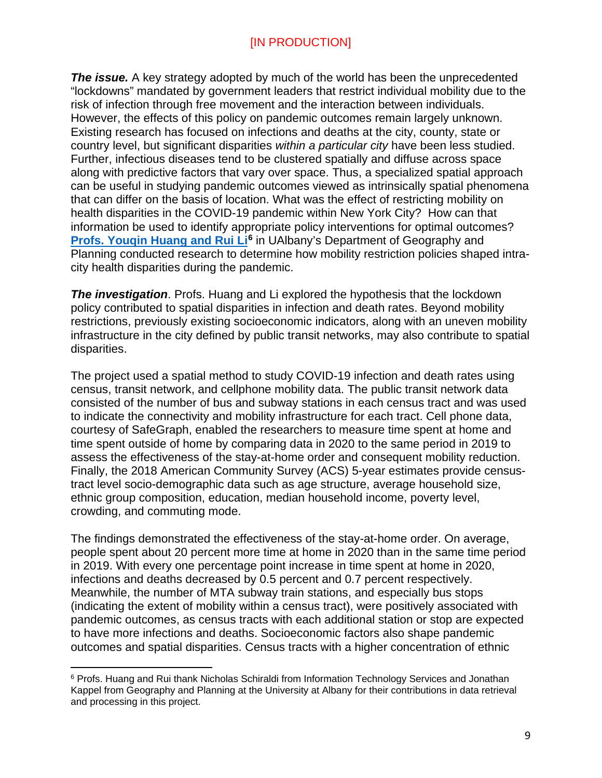**The issue.** A key strategy adopted by much of the world has been the unprecedented "lockdowns" mandated by government leaders that restrict individual mobility due to the risk of infection through free movement and the interaction between individuals. However, the effects of this policy on pandemic outcomes remain largely unknown. Existing research has focused on infections and deaths at the city, county, state or country level, but significant disparities *within a particular city* have been less studied. Further, infectious diseases tend to be clustered spatially and diffuse across space along with predictive factors that vary over space. Thus, a specialized spatial approach can be useful in studying pandemic outcomes viewed as intrinsically spatial phenomena that can differ on the basis of location. What was the effect of restricting mobility on health disparities in the COVID-19 pandemic within New York City? How can that information be used to identify appropriate policy interventions for optimal outcomes? **[Profs. Youqin Huang and Rui Li](https://scholarsarchive.library.albany.edu/covid_mhd_nys_white_papers/5/)[6](#page-8-0)** in UAlbany's Department of Geography and Planning conducted research to determine how mobility restriction policies shaped intracity health disparities during the pandemic.

*The investigation*. Profs. Huang and Li explored the hypothesis that the lockdown policy contributed to spatial disparities in infection and death rates. Beyond mobility restrictions, previously existing socioeconomic indicators, along with an uneven mobility infrastructure in the city defined by public transit networks, may also contribute to spatial disparities.

The project used a spatial method to study COVID-19 infection and death rates using census, transit network, and cellphone mobility data. The public transit network data consisted of the number of bus and subway stations in each census tract and was used to indicate the connectivity and mobility infrastructure for each tract. Cell phone data, courtesy of SafeGraph, enabled the researchers to measure time spent at home and time spent outside of home by comparing data in 2020 to the same period in 2019 to assess the effectiveness of the stay-at-home order and consequent mobility reduction. Finally, the 2018 American Community Survey (ACS) 5-year estimates provide censustract level socio-demographic data such as age structure, average household size, ethnic group composition, education, median household income, poverty level, crowding, and commuting mode.

The findings demonstrated the effectiveness of the stay-at-home order. On average, people spent about 20 percent more time at home in 2020 than in the same time period in 2019. With every one percentage point increase in time spent at home in 2020, infections and deaths decreased by 0.5 percent and 0.7 percent respectively. Meanwhile, the number of MTA subway train stations, and especially bus stops (indicating the extent of mobility within a census tract), were positively associated with pandemic outcomes, as census tracts with each additional station or stop are expected to have more infections and deaths. Socioeconomic factors also shape pandemic outcomes and spatial disparities. Census tracts with a higher concentration of ethnic

<span id="page-8-0"></span> $\overline{a}$ <sup>6</sup> Profs. Huang and Rui thank Nicholas Schiraldi from Information Technology Services and Jonathan Kappel from Geography and Planning at the University at Albany for their contributions in data retrieval and processing in this project.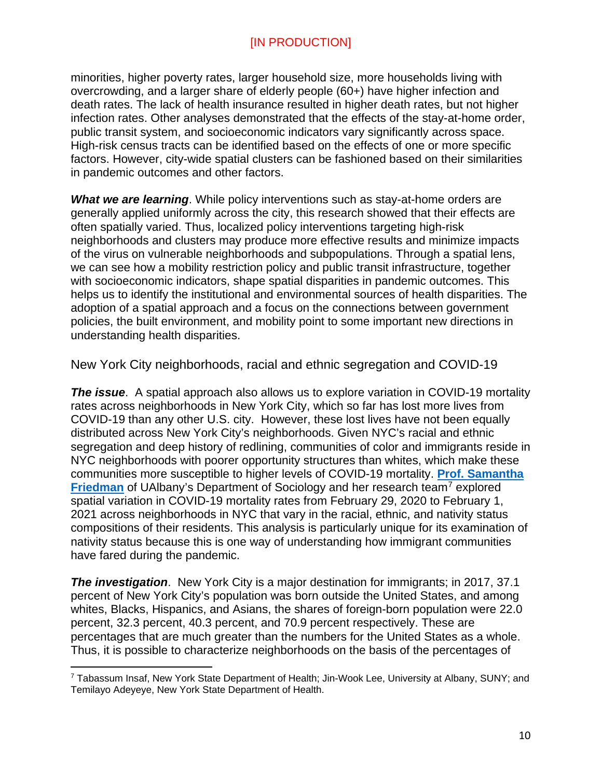minorities, higher poverty rates, larger household size, more households living with overcrowding, and a larger share of elderly people (60+) have higher infection and death rates. The lack of health insurance resulted in higher death rates, but not higher infection rates. Other analyses demonstrated that the effects of the stay-at-home order, public transit system, and socioeconomic indicators vary significantly across space. High-risk census tracts can be identified based on the effects of one or more specific factors. However, city-wide spatial clusters can be fashioned based on their similarities in pandemic outcomes and other factors.

*What we are learning*. While policy interventions such as stay-at-home orders are generally applied uniformly across the city, this research showed that their effects are often spatially varied. Thus, localized policy interventions targeting high-risk neighborhoods and clusters may produce more effective results and minimize impacts of the virus on vulnerable neighborhoods and subpopulations. Through a spatial lens, we can see how a mobility restriction policy and public transit infrastructure, together with socioeconomic indicators, shape spatial disparities in pandemic outcomes. This helps us to identify the institutional and environmental sources of health disparities. The adoption of a spatial approach and a focus on the connections between government policies, the built environment, and mobility point to some important new directions in understanding health disparities.

<span id="page-9-0"></span>New York City neighborhoods, racial and ethnic segregation and COVID-19

*The issue*. A spatial approach also allows us to explore variation in COVID-19 mortality rates across neighborhoods in New York City, which so far has lost more lives from COVID-19 than any other U.S. city. However, these lost lives have not been equally distributed across New York City's neighborhoods. Given NYC's racial and ethnic segregation and deep history of redlining, communities of color and immigrants reside in NYC neighborhoods with poorer opportunity structures than whites, which make these communities more susceptible to higher levels of COVID-19 mortality. **[Prof. Samantha](https://scholarsarchive.library.albany.edu/covid_mhd_nys_white_papers/8/)  [Friedman](https://scholarsarchive.library.albany.edu/covid_mhd_nys_white_papers/8/)** of UAlbany's Department of Sociology and her research team<sup>[7](#page-9-1)</sup> explored spatial variation in COVID-19 mortality rates from February 29, 2020 to February 1, 2021 across neighborhoods in NYC that vary in the racial, ethnic, and nativity status compositions of their residents. This analysis is particularly unique for its examination of nativity status because this is one way of understanding how immigrant communities have fared during the pandemic.

*The investigation*. New York City is a major destination for immigrants; in 2017, 37.1 percent of New York City's population was born outside the United States, and among whites, Blacks, Hispanics, and Asians, the shares of foreign-born population were 22.0 percent, 32.3 percent, 40.3 percent, and 70.9 percent respectively. These are percentages that are much greater than the numbers for the United States as a whole. Thus, it is possible to characterize neighborhoods on the basis of the percentages of

<span id="page-9-1"></span> $\overline{a}$ <sup>7</sup> Tabassum Insaf, New York State Department of Health; Jin-Wook Lee, University at Albany, SUNY; and Temilayo Adeyeye, New York State Department of Health.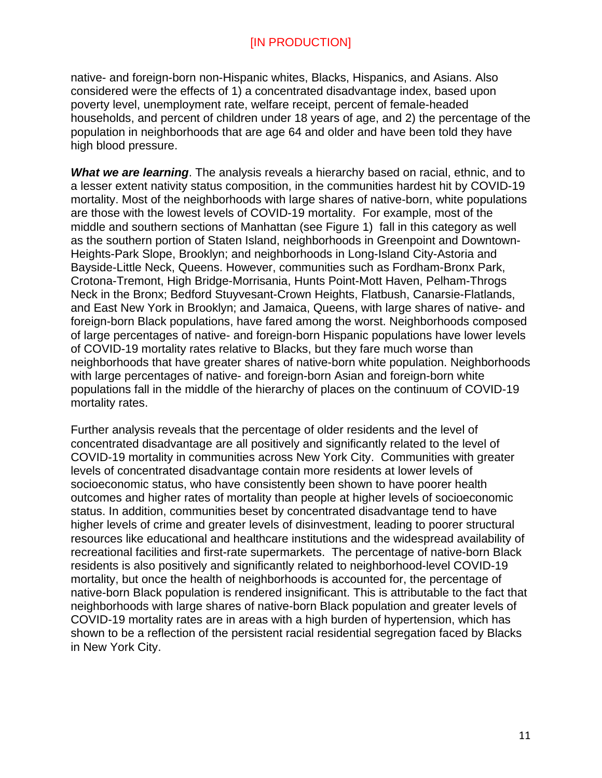native- and foreign-born non-Hispanic whites, Blacks, Hispanics, and Asians. Also considered were the effects of 1) a concentrated disadvantage index, based upon poverty level, unemployment rate, welfare receipt, percent of female-headed households, and percent of children under 18 years of age, and 2) the percentage of the population in neighborhoods that are age 64 and older and have been told they have high blood pressure.

*What we are learning*. The analysis reveals a hierarchy based on racial, ethnic, and to a lesser extent nativity status composition, in the communities hardest hit by COVID-19 mortality. Most of the neighborhoods with large shares of native-born, white populations are those with the lowest levels of COVID-19 mortality. For example, most of the middle and southern sections of Manhattan (see Figure 1) fall in this category as well as the southern portion of Staten Island, neighborhoods in Greenpoint and Downtown-Heights-Park Slope, Brooklyn; and neighborhoods in Long-Island City-Astoria and Bayside-Little Neck, Queens. However, communities such as Fordham-Bronx Park, Crotona-Tremont, High Bridge-Morrisania, Hunts Point-Mott Haven, Pelham-Throgs Neck in the Bronx; Bedford Stuyvesant-Crown Heights, Flatbush, Canarsie-Flatlands, and East New York in Brooklyn; and Jamaica, Queens, with large shares of native- and foreign-born Black populations, have fared among the worst. Neighborhoods composed of large percentages of native- and foreign-born Hispanic populations have lower levels of COVID-19 mortality rates relative to Blacks, but they fare much worse than neighborhoods that have greater shares of native-born white population. Neighborhoods with large percentages of native- and foreign-born Asian and foreign-born white populations fall in the middle of the hierarchy of places on the continuum of COVID-19 mortality rates.

Further analysis reveals that the percentage of older residents and the level of concentrated disadvantage are all positively and significantly related to the level of COVID-19 mortality in communities across New York City. Communities with greater levels of concentrated disadvantage contain more residents at lower levels of socioeconomic status, who have consistently been shown to have poorer health outcomes and higher rates of mortality than people at higher levels of socioeconomic status. In addition, communities beset by concentrated disadvantage tend to have higher levels of crime and greater levels of disinvestment, leading to poorer structural resources like educational and healthcare institutions and the widespread availability of recreational facilities and first-rate supermarkets. The percentage of native-born Black residents is also positively and significantly related to neighborhood-level COVID-19 mortality, but once the health of neighborhoods is accounted for, the percentage of native-born Black population is rendered insignificant. This is attributable to the fact that neighborhoods with large shares of native-born Black population and greater levels of COVID-19 mortality rates are in areas with a high burden of hypertension, which has shown to be a reflection of the persistent racial residential segregation faced by Blacks in New York City.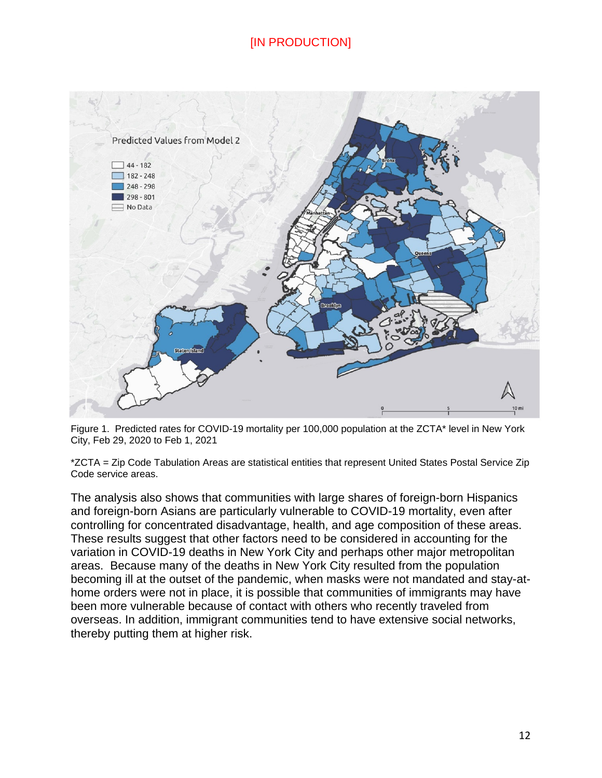

Figure 1. Predicted rates for COVID-19 mortality per 100,000 population at the ZCTA\* level in New York City, Feb 29, 2020 to Feb 1, 2021

\*ZCTA = Zip Code Tabulation Areas are statistical entities that represent United States Postal Service Zip Code service areas.

The analysis also shows that communities with large shares of foreign-born Hispanics and foreign-born Asians are particularly vulnerable to COVID-19 mortality, even after controlling for concentrated disadvantage, health, and age composition of these areas. These results suggest that other factors need to be considered in accounting for the variation in COVID-19 deaths in New York City and perhaps other major metropolitan areas. Because many of the deaths in New York City resulted from the population becoming ill at the outset of the pandemic, when masks were not mandated and stay-athome orders were not in place, it is possible that communities of immigrants may have been more vulnerable because of contact with others who recently traveled from overseas. In addition, immigrant communities tend to have extensive social networks, thereby putting them at higher risk.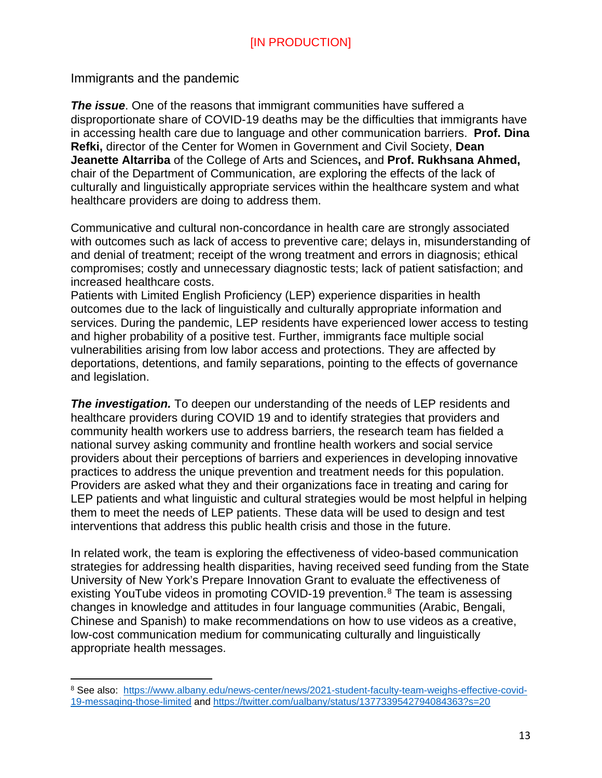<span id="page-12-0"></span>Immigrants and the pandemic

 $\overline{a}$ 

*The issue*. One of the reasons that immigrant communities have suffered a disproportionate share of COVID-19 deaths may be the difficulties that immigrants have in accessing health care due to language and other communication barriers. **Prof. Dina Refki,** director of the Center for Women in Government and Civil Society, **Dean Jeanette Altarriba** of the College of Arts and Sciences**,** and **Prof. Rukhsana Ahmed,**  chair of the Department of Communication, are exploring the effects of the lack of culturally and linguistically appropriate services within the healthcare system and what healthcare providers are doing to address them.

Communicative and cultural non-concordance in health care are strongly associated with outcomes such as lack of access to preventive care; delays in, misunderstanding of and denial of treatment; receipt of the wrong treatment and errors in diagnosis; ethical compromises; costly and unnecessary diagnostic tests; lack of patient satisfaction; and increased healthcare costs.

Patients with Limited English Proficiency (LEP) experience disparities in health outcomes due to the lack of linguistically and culturally appropriate information and services. During the pandemic, LEP residents have experienced lower access to testing and higher probability of a positive test. Further, immigrants face multiple social vulnerabilities arising from low labor access and protections. They are affected by deportations, detentions, and family separations, pointing to the effects of governance and legislation.

**The investigation.** To deepen our understanding of the needs of LEP residents and healthcare providers during COVID 19 and to identify strategies that providers and community health workers use to address barriers, the research team has fielded a national survey asking community and frontline health workers and social service providers about their perceptions of barriers and experiences in developing innovative practices to address the unique prevention and treatment needs for this population. Providers are asked what they and their organizations face in treating and caring for LEP patients and what linguistic and cultural strategies would be most helpful in helping them to meet the needs of LEP patients. These data will be used to design and test interventions that address this public health crisis and those in the future.

In related work, the team is exploring the effectiveness of video-based communication strategies for addressing health disparities, having received seed funding from the State University of New York's Prepare Innovation Grant to evaluate the effectiveness of existing YouTube videos in promoting COVID-19 prevention.<sup>[8](#page-12-1)</sup> The team is assessing changes in knowledge and attitudes in four language communities (Arabic, Bengali, Chinese and Spanish) to make recommendations on how to use videos as a creative, low-cost communication medium for communicating culturally and linguistically appropriate health messages.

<span id="page-12-1"></span><sup>8</sup> See also: [https://www.albany.edu/news-center/news/2021-student-faculty-team-weighs-effective-covid-](https://www.albany.edu/news-center/news/2021-student-faculty-team-weighs-effective-covid-19-messaging-those-limited)[19-messaging-those-limited](https://www.albany.edu/news-center/news/2021-student-faculty-team-weighs-effective-covid-19-messaging-those-limited) and<https://twitter.com/ualbany/status/1377339542794084363?s=20>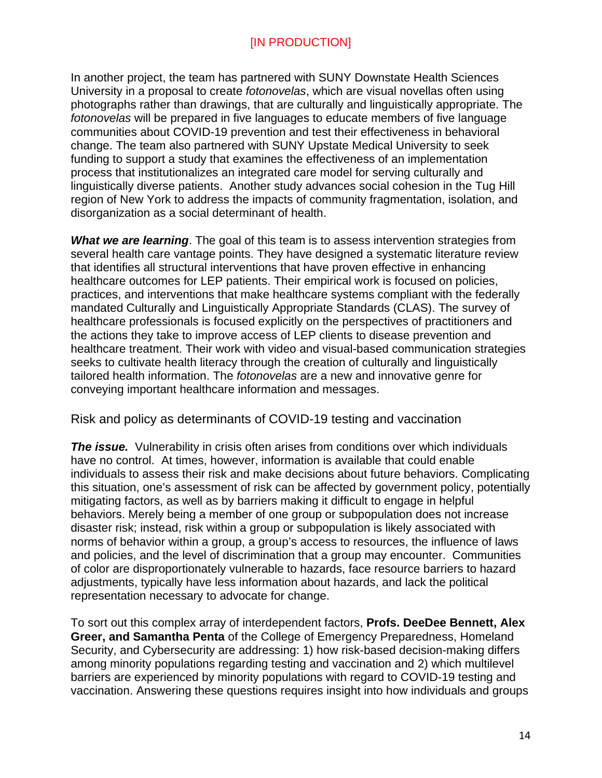In another project, the team has partnered with SUNY Downstate Health Sciences University in a proposal to create *fotonovelas*, which are visual novellas often using photographs rather than drawings, that are culturally and linguistically appropriate. The *fotonovelas* will be prepared in five languages to educate members of five language communities about COVID-19 prevention and test their effectiveness in behavioral change. The team also partnered with SUNY Upstate Medical University to seek funding to support a study that examines the effectiveness of an implementation process that institutionalizes an integrated care model for serving culturally and linguistically diverse patients. Another study advances social cohesion in the Tug Hill region of New York to address the impacts of community fragmentation, isolation, and disorganization as a social determinant of health.

**What we are learning**. The goal of this team is to assess intervention strategies from several health care vantage points. They have designed a systematic literature review that identifies all structural interventions that have proven effective in enhancing healthcare outcomes for LEP patients. Their empirical work is focused on policies, practices, and interventions that make healthcare systems compliant with the federally mandated Culturally and Linguistically Appropriate Standards (CLAS). The survey of healthcare professionals is focused explicitly on the perspectives of practitioners and the actions they take to improve access of LEP clients to disease prevention and healthcare treatment. Their work with video and visual-based communication strategies seeks to cultivate health literacy through the creation of culturally and linguistically tailored health information. The *fotonovelas* are a new and innovative genre for conveying important healthcare information and messages.

<span id="page-13-0"></span>Risk and policy as determinants of COVID-19 testing and vaccination

*The issue.* Vulnerability in crisis often arises from conditions over which individuals have no control. At times, however, information is available that could enable individuals to assess their risk and make decisions about future behaviors. Complicating this situation, one's assessment of risk can be affected by government policy, potentially mitigating factors, as well as by barriers making it difficult to engage in helpful behaviors. Merely being a member of one group or subpopulation does not increase disaster risk; instead, risk within a group or subpopulation is likely associated with norms of behavior within a group, a group's access to resources, the influence of laws and policies, and the level of discrimination that a group may encounter. Communities of color are disproportionately vulnerable to hazards, face resource barriers to hazard adjustments, typically have less information about hazards, and lack the political representation necessary to advocate for change.

To sort out this complex array of interdependent factors, **Profs. DeeDee Bennett, Alex Greer, and Samantha Penta** of the College of Emergency Preparedness, Homeland Security, and Cybersecurity are addressing: 1) how risk-based decision-making differs among minority populations regarding testing and vaccination and 2) which multilevel barriers are experienced by minority populations with regard to COVID-19 testing and vaccination. Answering these questions requires insight into how individuals and groups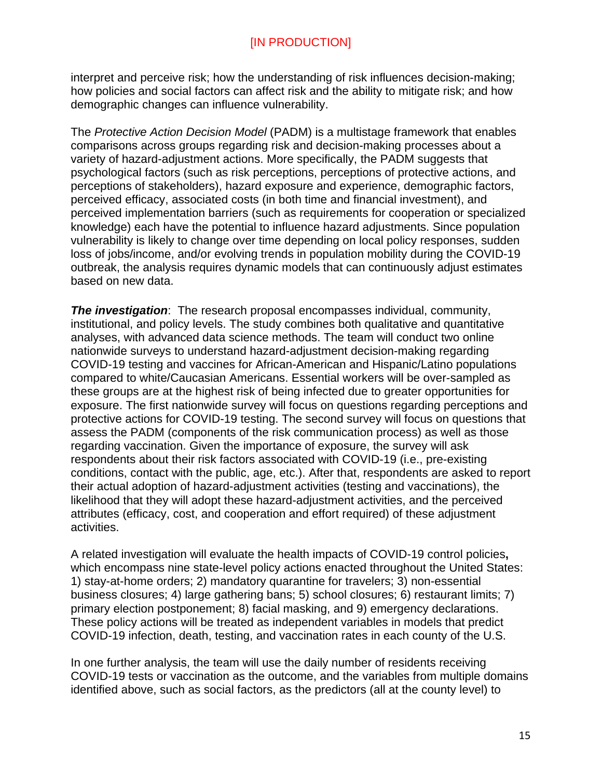interpret and perceive risk; how the understanding of risk influences decision-making; how policies and social factors can affect risk and the ability to mitigate risk; and how demographic changes can influence vulnerability.

The *Protective Action Decision Model* (PADM) is a multistage framework that enables comparisons across groups regarding risk and decision-making processes about a variety of hazard-adjustment actions. More specifically, the PADM suggests that psychological factors (such as risk perceptions, perceptions of protective actions, and perceptions of stakeholders), hazard exposure and experience, demographic factors, perceived efficacy, associated costs (in both time and financial investment), and perceived implementation barriers (such as requirements for cooperation or specialized knowledge) each have the potential to influence hazard adjustments. Since population vulnerability is likely to change over time depending on local policy responses, sudden loss of jobs/income, and/or evolving trends in population mobility during the COVID-19 outbreak, the analysis requires dynamic models that can continuously adjust estimates based on new data.

*The investigation*: The research proposal encompasses individual, community, institutional, and policy levels. The study combines both qualitative and quantitative analyses, with advanced data science methods. The team will conduct two online nationwide surveys to understand hazard-adjustment decision-making regarding COVID-19 testing and vaccines for African-American and Hispanic/Latino populations compared to white/Caucasian Americans. Essential workers will be over-sampled as these groups are at the highest risk of being infected due to greater opportunities for exposure. The first nationwide survey will focus on questions regarding perceptions and protective actions for COVID-19 testing. The second survey will focus on questions that assess the PADM (components of the risk communication process) as well as those regarding vaccination. Given the importance of exposure, the survey will ask respondents about their risk factors associated with COVID-19 (i.e., pre-existing conditions, contact with the public, age, etc.). After that, respondents are asked to report their actual adoption of hazard-adjustment activities (testing and vaccinations), the likelihood that they will adopt these hazard-adjustment activities, and the perceived attributes (efficacy, cost, and cooperation and effort required) of these adjustment activities.

A related investigation will evaluate the health impacts of COVID-19 control policies**,** which encompass nine state-level policy actions enacted throughout the United States: 1) stay-at-home orders; 2) mandatory quarantine for travelers; 3) non-essential business closures; 4) large gathering bans; 5) school closures; 6) restaurant limits; 7) primary election postponement; 8) facial masking, and 9) emergency declarations. These policy actions will be treated as independent variables in models that predict COVID-19 infection, death, testing, and vaccination rates in each county of the U.S.

In one further analysis, the team will use the daily number of residents receiving COVID-19 tests or vaccination as the outcome, and the variables from multiple domains identified above, such as social factors, as the predictors (all at the county level) to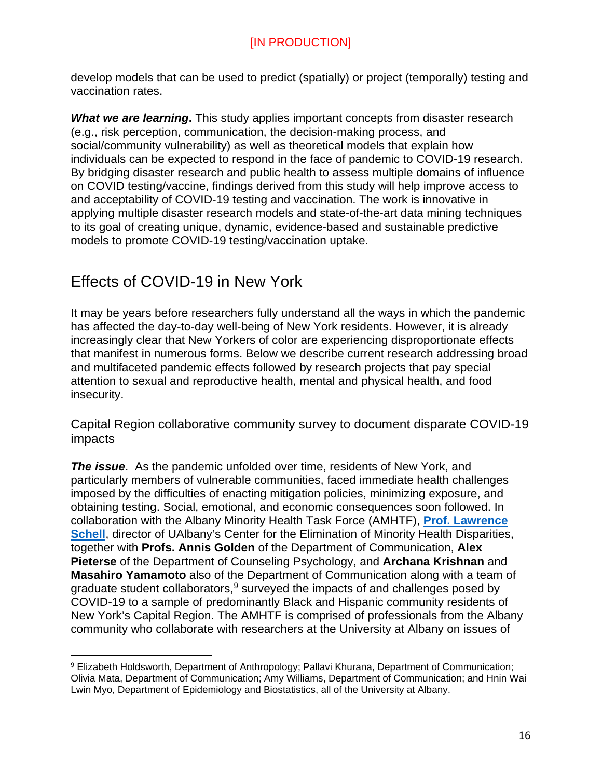develop models that can be used to predict (spatially) or project (temporally) testing and vaccination rates.

*What we are learning***.** This study applies important concepts from disaster research (e.g., risk perception, communication, the decision-making process, and social/community vulnerability) as well as theoretical models that explain how individuals can be expected to respond in the face of pandemic to COVID-19 research. By bridging disaster research and public health to assess multiple domains of influence on COVID testing/vaccine, findings derived from this study will help improve access to and acceptability of COVID-19 testing and vaccination. The work is innovative in applying multiple disaster research models and state-of-the-art data mining techniques to its goal of creating unique, dynamic, evidence-based and sustainable predictive models to promote COVID-19 testing/vaccination uptake.

# <span id="page-15-0"></span>Effects of COVID-19 in New York

 $\overline{a}$ 

It may be years before researchers fully understand all the ways in which the pandemic has affected the day-to-day well-being of New York residents. However, it is already increasingly clear that New Yorkers of color are experiencing disproportionate effects that manifest in numerous forms. Below we describe current research addressing broad and multifaceted pandemic effects followed by research projects that pay special attention to sexual and reproductive health, mental and physical health, and food insecurity.

<span id="page-15-1"></span>Capital Region collaborative community survey to document disparate COVID-19 impacts

*The issue*. As the pandemic unfolded over time, residents of New York, and particularly members of vulnerable communities, faced immediate health challenges imposed by the difficulties of enacting mitigation policies, minimizing exposure, and obtaining testing. Social, emotional, and economic consequences soon followed. In collaboration with the Albany Minority Health Task Force (AMHTF), **[Prof. Lawrence](https://scholarsarchive.library.albany.edu/covid_mhd_nys_white_papers/9/)  [Schell](https://scholarsarchive.library.albany.edu/covid_mhd_nys_white_papers/9/)**, director of UAlbany's Center for the Elimination of Minority Health Disparities, together with **Profs. Annis Golden** of the Department of Communication, **Alex Pieterse** of the Department of Counseling Psychology, and **Archana Krishnan** and **Masahiro Yamamoto** also of the Department of Communication along with a team of graduate student collaborators,  $9$  surveyed the impacts of and challenges posed by COVID-19 to a sample of predominantly Black and Hispanic community residents of New York's Capital Region. The AMHTF is comprised of professionals from the Albany community who collaborate with researchers at the University at Albany on issues of

<span id="page-15-2"></span><sup>9</sup> Elizabeth Holdsworth, Department of Anthropology; Pallavi Khurana, Department of Communication; Olivia Mata, Department of Communication; Amy Williams, Department of Communication; and Hnin Wai Lwin Myo, Department of Epidemiology and Biostatistics, all of the University at Albany.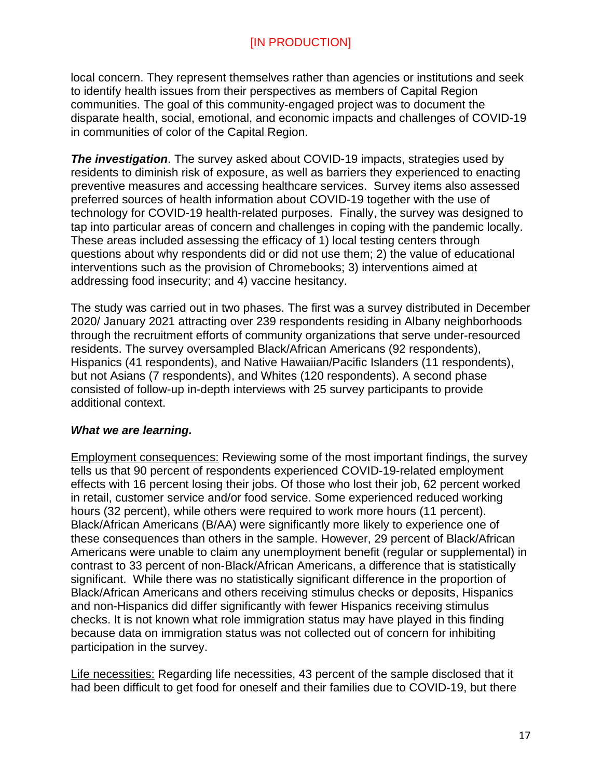local concern. They represent themselves rather than agencies or institutions and seek to identify health issues from their perspectives as members of Capital Region communities. The goal of this community-engaged project was to document the disparate health, social, emotional, and economic impacts and challenges of COVID-19 in communities of color of the Capital Region.

**The investigation**. The survey asked about COVID-19 impacts, strategies used by residents to diminish risk of exposure, as well as barriers they experienced to enacting preventive measures and accessing healthcare services. Survey items also assessed preferred sources of health information about COVID-19 together with the use of technology for COVID-19 health-related purposes. Finally, the survey was designed to tap into particular areas of concern and challenges in coping with the pandemic locally. These areas included assessing the efficacy of 1) local testing centers through questions about why respondents did or did not use them; 2) the value of educational interventions such as the provision of Chromebooks; 3) interventions aimed at addressing food insecurity; and 4) vaccine hesitancy.

The study was carried out in two phases. The first was a survey distributed in December 2020/ January 2021 attracting over 239 respondents residing in Albany neighborhoods through the recruitment efforts of community organizations that serve under-resourced residents. The survey oversampled Black/African Americans (92 respondents), Hispanics (41 respondents), and Native Hawaiian/Pacific Islanders (11 respondents), but not Asians (7 respondents), and Whites (120 respondents). A second phase consisted of follow-up in-depth interviews with 25 survey participants to provide additional context.

#### *What we are learning.*

Employment consequences: Reviewing some of the most important findings, the survey tells us that 90 percent of respondents experienced COVID-19-related employment effects with 16 percent losing their jobs. Of those who lost their job, 62 percent worked in retail, customer service and/or food service. Some experienced reduced working hours (32 percent), while others were required to work more hours (11 percent). Black/African Americans (B/AA) were significantly more likely to experience one of these consequences than others in the sample. However, 29 percent of Black/African Americans were unable to claim any unemployment benefit (regular or supplemental) in contrast to 33 percent of non-Black/African Americans, a difference that is statistically significant. While there was no statistically significant difference in the proportion of Black/African Americans and others receiving stimulus checks or deposits, Hispanics and non-Hispanics did differ significantly with fewer Hispanics receiving stimulus checks. It is not known what role immigration status may have played in this finding because data on immigration status was not collected out of concern for inhibiting participation in the survey.

Life necessities: Regarding life necessities, 43 percent of the sample disclosed that it had been difficult to get food for oneself and their families due to COVID-19, but there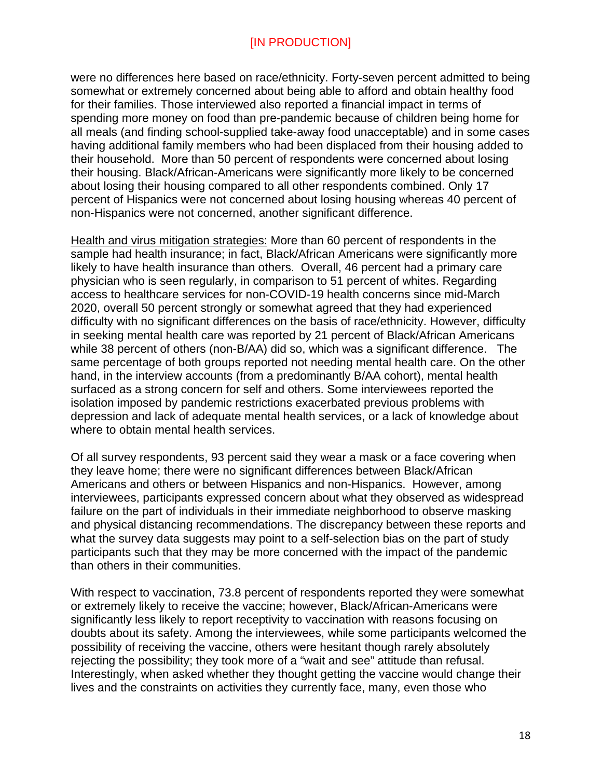were no differences here based on race/ethnicity. Forty-seven percent admitted to being somewhat or extremely concerned about being able to afford and obtain healthy food for their families. Those interviewed also reported a financial impact in terms of spending more money on food than pre-pandemic because of children being home for all meals (and finding school-supplied take-away food unacceptable) and in some cases having additional family members who had been displaced from their housing added to their household. More than 50 percent of respondents were concerned about losing their housing. Black/African-Americans were significantly more likely to be concerned about losing their housing compared to all other respondents combined. Only 17 percent of Hispanics were not concerned about losing housing whereas 40 percent of non-Hispanics were not concerned, another significant difference.

Health and virus mitigation strategies: More than 60 percent of respondents in the sample had health insurance; in fact, Black/African Americans were significantly more likely to have health insurance than others. Overall, 46 percent had a primary care physician who is seen regularly, in comparison to 51 percent of whites. Regarding access to healthcare services for non-COVID-19 health concerns since mid-March 2020, overall 50 percent strongly or somewhat agreed that they had experienced difficulty with no significant differences on the basis of race/ethnicity. However, difficulty in seeking mental health care was reported by 21 percent of Black/African Americans while 38 percent of others (non-B/AA) did so, which was a significant difference. The same percentage of both groups reported not needing mental health care. On the other hand, in the interview accounts (from a predominantly B/AA cohort), mental health surfaced as a strong concern for self and others. Some interviewees reported the isolation imposed by pandemic restrictions exacerbated previous problems with depression and lack of adequate mental health services, or a lack of knowledge about where to obtain mental health services.

Of all survey respondents, 93 percent said they wear a mask or a face covering when they leave home; there were no significant differences between Black/African Americans and others or between Hispanics and non-Hispanics. However, among interviewees, participants expressed concern about what they observed as widespread failure on the part of individuals in their immediate neighborhood to observe masking and physical distancing recommendations. The discrepancy between these reports and what the survey data suggests may point to a self-selection bias on the part of study participants such that they may be more concerned with the impact of the pandemic than others in their communities.

With respect to vaccination, 73.8 percent of respondents reported they were somewhat or extremely likely to receive the vaccine; however, Black/African-Americans were significantly less likely to report receptivity to vaccination with reasons focusing on doubts about its safety. Among the interviewees, while some participants welcomed the possibility of receiving the vaccine, others were hesitant though rarely absolutely rejecting the possibility; they took more of a "wait and see" attitude than refusal. Interestingly, when asked whether they thought getting the vaccine would change their lives and the constraints on activities they currently face, many, even those who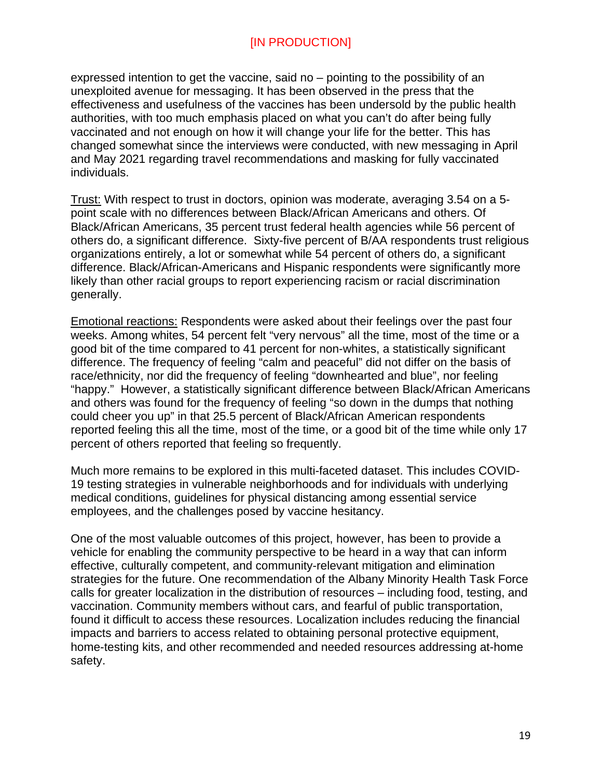expressed intention to get the vaccine, said no – pointing to the possibility of an unexploited avenue for messaging. It has been observed in the press that the effectiveness and usefulness of the vaccines has been undersold by the public health authorities, with too much emphasis placed on what you can't do after being fully vaccinated and not enough on how it will change your life for the better. This has changed somewhat since the interviews were conducted, with new messaging in April and May 2021 regarding travel recommendations and masking for fully vaccinated individuals.

Trust: With respect to trust in doctors, opinion was moderate, averaging 3.54 on a 5 point scale with no differences between Black/African Americans and others. Of Black/African Americans, 35 percent trust federal health agencies while 56 percent of others do, a significant difference. Sixty-five percent of B/AA respondents trust religious organizations entirely, a lot or somewhat while 54 percent of others do, a significant difference. Black/African-Americans and Hispanic respondents were significantly more likely than other racial groups to report experiencing racism or racial discrimination generally.

Emotional reactions: Respondents were asked about their feelings over the past four weeks. Among whites, 54 percent felt "very nervous" all the time, most of the time or a good bit of the time compared to 41 percent for non-whites, a statistically significant difference. The frequency of feeling "calm and peaceful" did not differ on the basis of race/ethnicity, nor did the frequency of feeling "downhearted and blue", nor feeling "happy." However, a statistically significant difference between Black/African Americans and others was found for the frequency of feeling "so down in the dumps that nothing could cheer you up" in that 25.5 percent of Black/African American respondents reported feeling this all the time, most of the time, or a good bit of the time while only 17 percent of others reported that feeling so frequently.

Much more remains to be explored in this multi-faceted dataset. This includes COVID-19 testing strategies in vulnerable neighborhoods and for individuals with underlying medical conditions, guidelines for physical distancing among essential service employees, and the challenges posed by vaccine hesitancy.

One of the most valuable outcomes of this project, however, has been to provide a vehicle for enabling the community perspective to be heard in a way that can inform effective, culturally competent, and community-relevant mitigation and elimination strategies for the future. One recommendation of the Albany Minority Health Task Force calls for greater localization in the distribution of resources – including food, testing, and vaccination. Community members without cars, and fearful of public transportation, found it difficult to access these resources. Localization includes reducing the financial impacts and barriers to access related to obtaining personal protective equipment, home-testing kits, and other recommended and needed resources addressing at-home safety.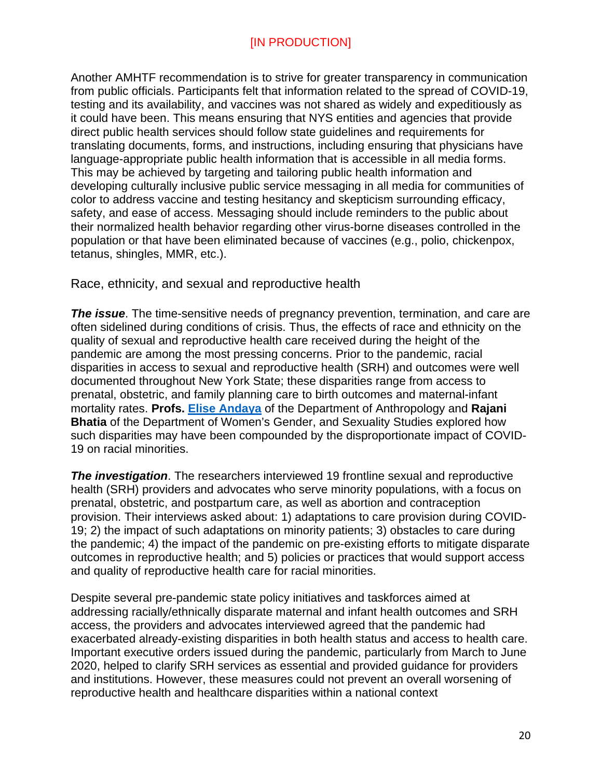Another AMHTF recommendation is to strive for greater transparency in communication from public officials. Participants felt that information related to the spread of COVID-19, testing and its availability, and vaccines was not shared as widely and expeditiously as it could have been. This means ensuring that NYS entities and agencies that provide direct public health services should follow state guidelines and requirements for translating documents, forms, and instructions, including ensuring that physicians have language-appropriate public health information that is accessible in all media forms. This may be achieved by targeting and tailoring public health information and developing culturally inclusive public service messaging in all media for communities of color to address vaccine and testing hesitancy and skepticism surrounding efficacy, safety, and ease of access. Messaging should include reminders to the public about their normalized health behavior regarding other virus-borne diseases controlled in the population or that have been eliminated because of vaccines (e.g., polio, chickenpox, tetanus, shingles, MMR, etc.).

<span id="page-19-0"></span>Race, ethnicity, and sexual and reproductive health

**The issue**. The time-sensitive needs of pregnancy prevention, termination, and care are often sidelined during conditions of crisis. Thus, the effects of race and ethnicity on the quality of sexual and reproductive health care received during the height of the pandemic are among the most pressing concerns. Prior to the pandemic, racial disparities in access to sexual and reproductive health (SRH) and outcomes were well documented throughout New York State; these disparities range from access to prenatal, obstetric, and family planning care to birth outcomes and maternal-infant mortality rates. **Profs. [Elise Andaya](https://scholarsarchive.library.albany.edu/covid_mhd_nys_white_papers/3/)** of the Department of Anthropology and **Rajani Bhatia** of the Department of Women's Gender, and Sexuality Studies explored how such disparities may have been compounded by the disproportionate impact of COVID-19 on racial minorities.

*The investigation*. The researchers interviewed 19 frontline sexual and reproductive health (SRH) providers and advocates who serve minority populations, with a focus on prenatal, obstetric, and postpartum care, as well as abortion and contraception provision. Their interviews asked about: 1) adaptations to care provision during COVID-19; 2) the impact of such adaptations on minority patients; 3) obstacles to care during the pandemic; 4) the impact of the pandemic on pre-existing efforts to mitigate disparate outcomes in reproductive health; and 5) policies or practices that would support access and quality of reproductive health care for racial minorities.

Despite several pre-pandemic state policy initiatives and taskforces aimed at addressing racially/ethnically disparate maternal and infant health outcomes and SRH access, the providers and advocates interviewed agreed that the pandemic had exacerbated already-existing disparities in both health status and access to health care. Important executive orders issued during the pandemic, particularly from March to June 2020, helped to clarify SRH services as essential and provided guidance for providers and institutions. However, these measures could not prevent an overall worsening of reproductive health and healthcare disparities within a national context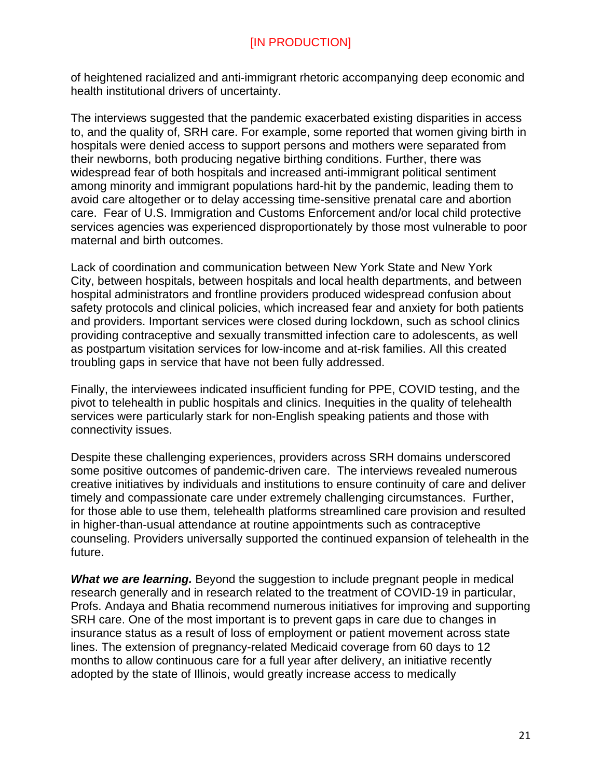of heightened racialized and anti-immigrant rhetoric accompanying deep economic and health institutional drivers of uncertainty.

The interviews suggested that the pandemic exacerbated existing disparities in access to, and the quality of, SRH care. For example, some reported that women giving birth in hospitals were denied access to support persons and mothers were separated from their newborns, both producing negative birthing conditions. Further, there was widespread fear of both hospitals and increased anti-immigrant political sentiment among minority and immigrant populations hard-hit by the pandemic, leading them to avoid care altogether or to delay accessing time-sensitive prenatal care and abortion care. Fear of U.S. Immigration and Customs Enforcement and/or local child protective services agencies was experienced disproportionately by those most vulnerable to poor maternal and birth outcomes.

Lack of coordination and communication between New York State and New York City, between hospitals, between hospitals and local health departments, and between hospital administrators and frontline providers produced widespread confusion about safety protocols and clinical policies, which increased fear and anxiety for both patients and providers. Important services were closed during lockdown, such as school clinics providing contraceptive and sexually transmitted infection care to adolescents, as well as postpartum visitation services for low-income and at-risk families. All this created troubling gaps in service that have not been fully addressed.

Finally, the interviewees indicated insufficient funding for PPE, COVID testing, and the pivot to telehealth in public hospitals and clinics. Inequities in the quality of telehealth services were particularly stark for non-English speaking patients and those with connectivity issues.

Despite these challenging experiences, providers across SRH domains underscored some positive outcomes of pandemic-driven care. The interviews revealed numerous creative initiatives by individuals and institutions to ensure continuity of care and deliver timely and compassionate care under extremely challenging circumstances. Further, for those able to use them, telehealth platforms streamlined care provision and resulted in higher-than-usual attendance at routine appointments such as contraceptive counseling. Providers universally supported the continued expansion of telehealth in the future.

**What we are learning.** Beyond the suggestion to include pregnant people in medical research generally and in research related to the treatment of COVID-19 in particular, Profs. Andaya and Bhatia recommend numerous initiatives for improving and supporting SRH care. One of the most important is to prevent gaps in care due to changes in insurance status as a result of loss of employment or patient movement across state lines. The extension of pregnancy-related Medicaid coverage from 60 days to 12 months to allow continuous care for a full year after delivery, an initiative recently adopted by the state of Illinois, would greatly increase access to medically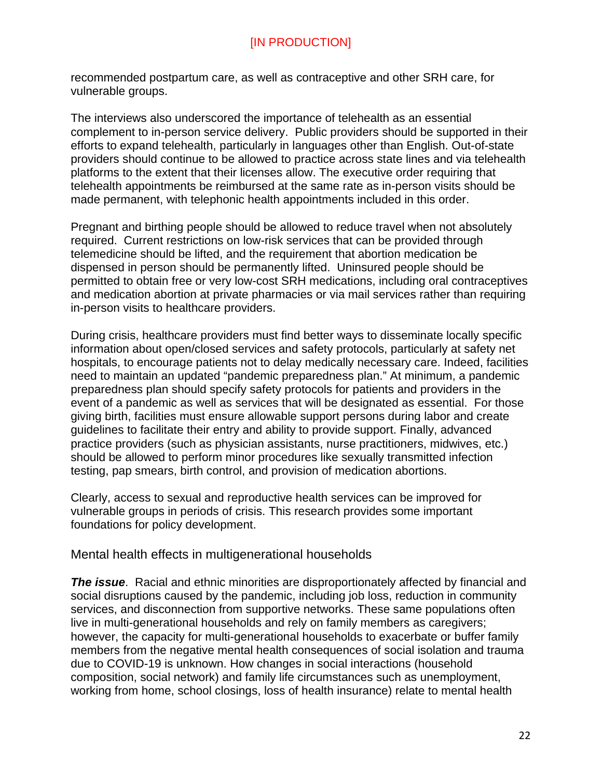recommended postpartum care, as well as contraceptive and other SRH care, for vulnerable groups.

The interviews also underscored the importance of telehealth as an essential complement to in-person service delivery. Public providers should be supported in their efforts to expand telehealth, particularly in languages other than English. Out-of-state providers should continue to be allowed to practice across state lines and via telehealth platforms to the extent that their licenses allow. The executive order requiring that telehealth appointments be reimbursed at the same rate as in-person visits should be made permanent, with telephonic health appointments included in this order.

Pregnant and birthing people should be allowed to reduce travel when not absolutely required. Current restrictions on low-risk services that can be provided through telemedicine should be lifted, and the requirement that abortion medication be dispensed in person should be permanently lifted. Uninsured people should be permitted to obtain free or very low-cost SRH medications, including oral contraceptives and medication abortion at private pharmacies or via mail services rather than requiring in-person visits to healthcare providers.

During crisis, healthcare providers must find better ways to disseminate locally specific information about open/closed services and safety protocols, particularly at safety net hospitals, to encourage patients not to delay medically necessary care. Indeed, facilities need to maintain an updated "pandemic preparedness plan." At minimum, a pandemic preparedness plan should specify safety protocols for patients and providers in the event of a pandemic as well as services that will be designated as essential. For those giving birth, facilities must ensure allowable support persons during labor and create guidelines to facilitate their entry and ability to provide support. Finally, advanced practice providers (such as physician assistants, nurse practitioners, midwives, etc.) should be allowed to perform minor procedures like sexually transmitted infection testing, pap smears, birth control, and provision of medication abortions.

Clearly, access to sexual and reproductive health services can be improved for vulnerable groups in periods of crisis. This research provides some important foundations for policy development.

<span id="page-21-0"></span>Mental health effects in multigenerational households

*The issue*. Racial and ethnic minorities are disproportionately affected by financial and social disruptions caused by the pandemic, including job loss, reduction in community services, and disconnection from supportive networks. These same populations often live in multi-generational households and rely on family members as caregivers; however, the capacity for multi-generational households to exacerbate or buffer family members from the negative mental health consequences of social isolation and trauma due to COVID-19 is unknown. How changes in social interactions (household composition, social network) and family life circumstances such as unemployment, working from home, school closings, loss of health insurance) relate to mental health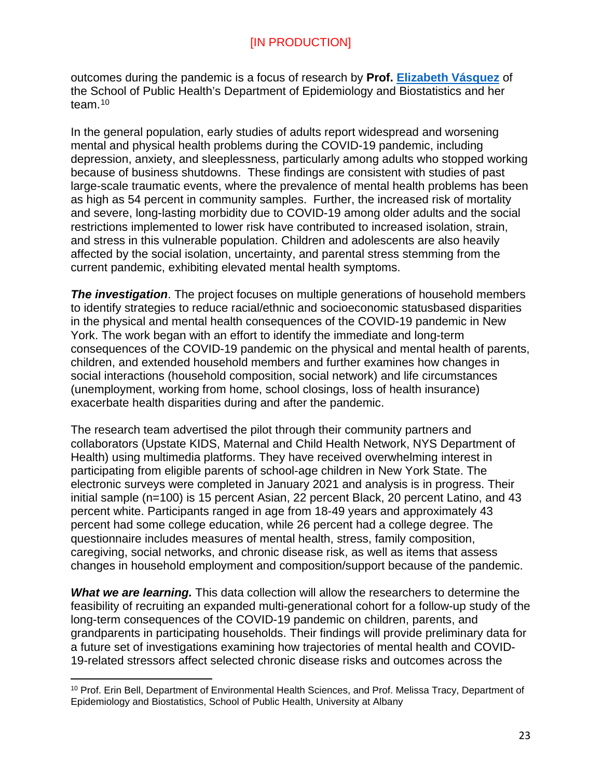outcomes during the pandemic is a focus of research by **Prof. [Elizabeth Vásquez](https://scholarsarchive.library.albany.edu/covid_mhd_nys_white_papers/7/)** of the School of Public Health's Department of Epidemiology and Biostatistics and her team. [10](#page-22-0)

In the general population, early studies of adults report widespread and worsening mental and physical health problems during the COVID-19 pandemic, including depression, anxiety, and sleeplessness, particularly among adults who stopped working because of business shutdowns. These findings are consistent with studies of past large-scale traumatic events, where the prevalence of mental health problems has been as high as 54 percent in community samples. Further, the increased risk of mortality and severe, long-lasting morbidity due to COVID-19 among older adults and the social restrictions implemented to lower risk have contributed to increased isolation, strain, and stress in this vulnerable population. Children and adolescents are also heavily affected by the social isolation, uncertainty, and parental stress stemming from the current pandemic, exhibiting elevated mental health symptoms.

*The investigation.* The project focuses on multiple generations of household members to identify strategies to reduce racial/ethnic and socioeconomic statusbased disparities in the physical and mental health consequences of the COVID-19 pandemic in New York. The work began with an effort to identify the immediate and long-term consequences of the COVID-19 pandemic on the physical and mental health of parents, children, and extended household members and further examines how changes in social interactions (household composition, social network) and life circumstances (unemployment, working from home, school closings, loss of health insurance) exacerbate health disparities during and after the pandemic.

The research team advertised the pilot through their community partners and collaborators (Upstate KIDS, Maternal and Child Health Network, NYS Department of Health) using multimedia platforms. They have received overwhelming interest in participating from eligible parents of school-age children in New York State. The electronic surveys were completed in January 2021 and analysis is in progress. Their initial sample (n=100) is 15 percent Asian, 22 percent Black, 20 percent Latino, and 43 percent white. Participants ranged in age from 18-49 years and approximately 43 percent had some college education, while 26 percent had a college degree. The questionnaire includes measures of mental health, stress, family composition, caregiving, social networks, and chronic disease risk, as well as items that assess changes in household employment and composition/support because of the pandemic.

*What we are learning.* This data collection will allow the researchers to determine the feasibility of recruiting an expanded multi-generational cohort for a follow-up study of the long-term consequences of the COVID-19 pandemic on children, parents, and grandparents in participating households. Their findings will provide preliminary data for a future set of investigations examining how trajectories of mental health and COVID-19-related stressors affect selected chronic disease risks and outcomes across the

 $\overline{a}$ 

<span id="page-22-0"></span><sup>&</sup>lt;sup>10</sup> Prof. Erin Bell, Department of Environmental Health Sciences, and Prof. Melissa Tracy, Department of Epidemiology and Biostatistics, School of Public Health, University at Albany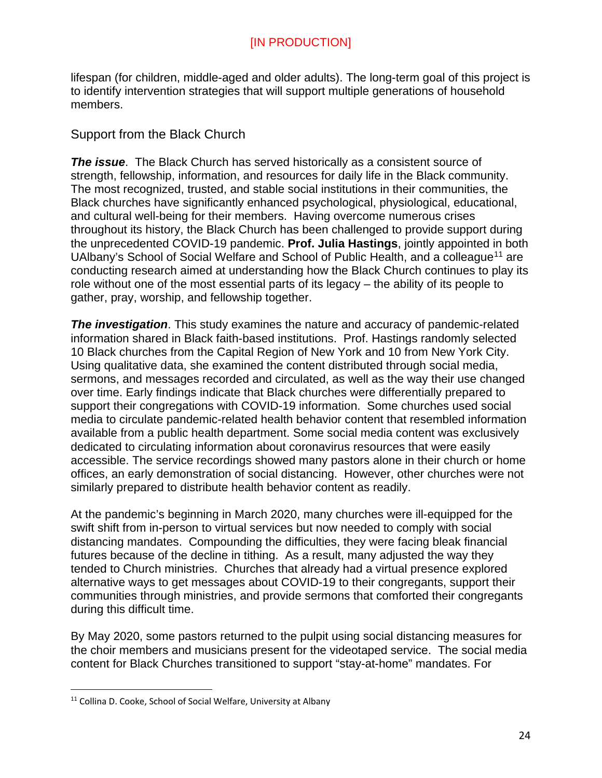lifespan (for children, middle-aged and older adults). The long-term goal of this project is to identify intervention strategies that will support multiple generations of household members.

### <span id="page-23-0"></span>Support from the Black Church

*The issue*. The Black Church has served historically as a consistent source of strength, fellowship, information, and resources for daily life in the Black community. The most recognized, trusted, and stable social institutions in their communities, the Black churches have significantly enhanced psychological, physiological, educational, and cultural well-being for their members. Having overcome numerous crises throughout its history, the Black Church has been challenged to provide support during the unprecedented COVID-19 pandemic. **Prof. Julia Hastings**, jointly appointed in both UAIbany's School of Social Welfare and School of Public Health, and a colleague<sup>[11](#page-23-1)</sup> are conducting research aimed at understanding how the Black Church continues to play its role without one of the most essential parts of its legacy – the ability of its people to gather, pray, worship, and fellowship together.

*The investigation*. This study examines the nature and accuracy of pandemic-related information shared in Black faith-based institutions. Prof. Hastings randomly selected 10 Black churches from the Capital Region of New York and 10 from New York City. Using qualitative data, she examined the content distributed through social media, sermons, and messages recorded and circulated, as well as the way their use changed over time. Early findings indicate that Black churches were differentially prepared to support their congregations with COVID-19 information. Some churches used social media to circulate pandemic-related health behavior content that resembled information available from a public health department. Some social media content was exclusively dedicated to circulating information about coronavirus resources that were easily accessible. The service recordings showed many pastors alone in their church or home offices, an early demonstration of social distancing. However, other churches were not similarly prepared to distribute health behavior content as readily.

At the pandemic's beginning in March 2020, many churches were ill-equipped for the swift shift from in-person to virtual services but now needed to comply with social distancing mandates. Compounding the difficulties, they were facing bleak financial futures because of the decline in tithing. As a result, many adjusted the way they tended to Church ministries. Churches that already had a virtual presence explored alternative ways to get messages about COVID-19 to their congregants, support their communities through ministries, and provide sermons that comforted their congregants during this difficult time.

By May 2020, some pastors returned to the pulpit using social distancing measures for the choir members and musicians present for the videotaped service. The social media content for Black Churches transitioned to support "stay-at-home" mandates. For

<span id="page-23-1"></span><sup>&</sup>lt;sup>11</sup> Collina D. Cooke, School of Social Welfare, University at Albany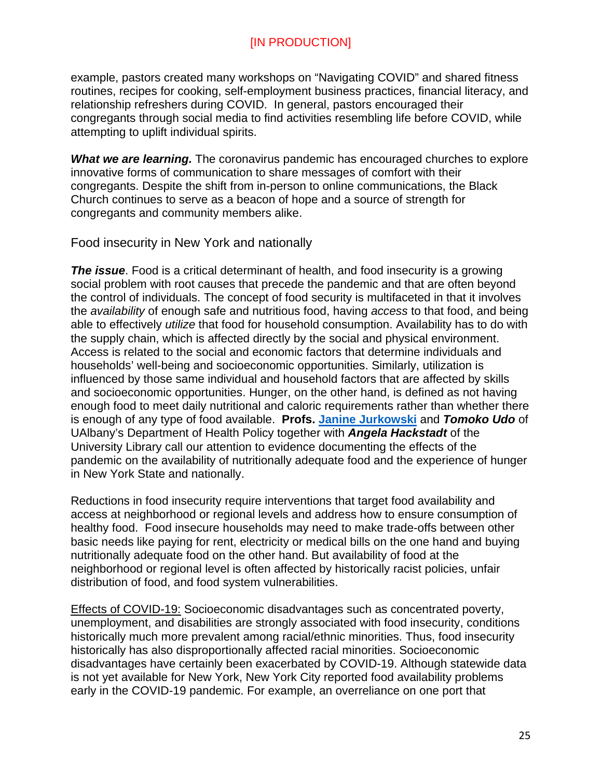example, pastors created many workshops on "Navigating COVID" and shared fitness routines, recipes for cooking, self-employment business practices, financial literacy, and relationship refreshers during COVID. In general, pastors encouraged their congregants through social media to find activities resembling life before COVID, while attempting to uplift individual spirits.

*What we are learning.* The coronavirus pandemic has encouraged churches to explore innovative forms of communication to share messages of comfort with their congregants. Despite the shift from in-person to online communications, the Black Church continues to serve as a beacon of hope and a source of strength for congregants and community members alike.

<span id="page-24-0"></span>Food insecurity in New York and nationally

**The issue**. Food is a critical determinant of health, and food insecurity is a growing social problem with root causes that precede the pandemic and that are often beyond the control of individuals. The concept of food security is multifaceted in that it involves the *availability* of enough safe and nutritious food, having *access* to that food, and being able to effectively *utilize* that food for household consumption. Availability has to do with the supply chain, which is affected directly by the social and physical environment. Access is related to the social and economic factors that determine individuals and households' well-being and socioeconomic opportunities. Similarly, utilization is influenced by those same individual and household factors that are affected by skills and socioeconomic opportunities. Hunger, on the other hand, is defined as not having enough food to meet daily nutritional and caloric requirements rather than whether there is enough of any type of food available. **Profs. [Janine Jurkowski](https://scholarsarchive.library.albany.edu/covid_mhd_nys_white_papers/10/)** and *Tomoko Udo* of UAlbany's Department of Health Policy together with *Angela Hackstadt* of the University Library call our attention to evidence documenting the effects of the pandemic on the availability of nutritionally adequate food and the experience of hunger in New York State and nationally.

Reductions in food insecurity require interventions that target food availability and access at neighborhood or regional levels and address how to ensure consumption of healthy food. Food insecure households may need to make trade-offs between other basic needs like paying for rent, electricity or medical bills on the one hand and buying nutritionally adequate food on the other hand. But availability of food at the neighborhood or regional level is often affected by historically racist policies, unfair distribution of food, and food system vulnerabilities.

Effects of COVID-19: Socioeconomic disadvantages such as concentrated poverty, unemployment, and disabilities are strongly associated with food insecurity, conditions historically much more prevalent among racial/ethnic minorities. Thus, food insecurity historically has also disproportionally affected racial minorities. Socioeconomic disadvantages have certainly been exacerbated by COVID-19. Although statewide data is not yet available for New York, New York City reported food availability problems early in the COVID-19 pandemic. For example, an overreliance on one port that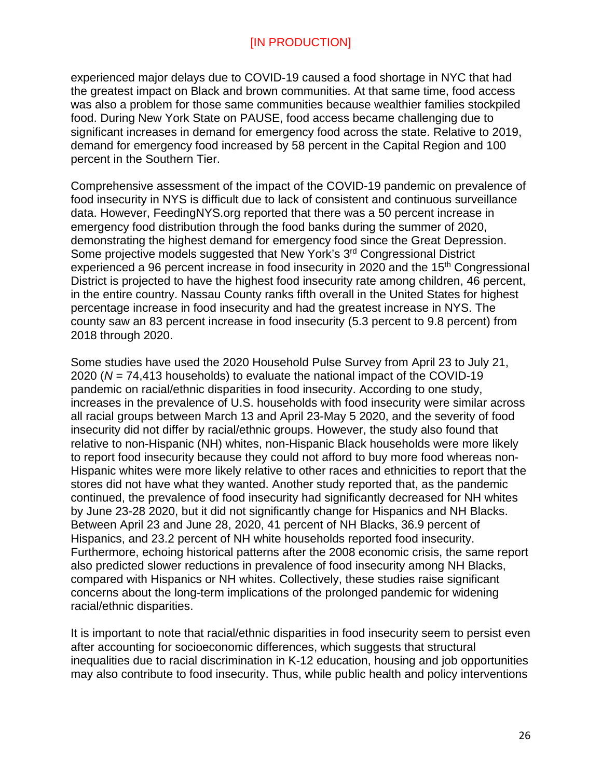experienced major delays due to COVID-19 caused a food shortage in NYC that had the greatest impact on Black and brown communities. At that same time, food access was also a problem for those same communities because wealthier families stockpiled food. During New York State on PAUSE, food access became challenging due to significant increases in demand for emergency food across the state. Relative to 2019, demand for emergency food increased by 58 percent in the Capital Region and 100 percent in the Southern Tier.

Comprehensive assessment of the impact of the COVID-19 pandemic on prevalence of food insecurity in NYS is difficult due to lack of consistent and continuous surveillance data. However, FeedingNYS.org reported that there was a 50 percent increase in emergency food distribution through the food banks during the summer of 2020, demonstrating the highest demand for emergency food since the Great Depression. Some projective models suggested that New York's 3<sup>rd</sup> Congressional District experienced a 96 percent increase in food insecurity in 2020 and the 15<sup>th</sup> Congressional District is projected to have the highest food insecurity rate among children, 46 percent, in the entire country. Nassau County ranks fifth overall in the United States for highest percentage increase in food insecurity and had the greatest increase in NYS. The county saw an 83 percent increase in food insecurity (5.3 percent to 9.8 percent) from 2018 through 2020.

Some studies have used the 2020 Household Pulse Survey from April 23 to July 21, 2020 (*N* = 74,413 households) to evaluate the national impact of the COVID-19 pandemic on racial/ethnic disparities in food insecurity. According to one study, increases in the prevalence of U.S. households with food insecurity were similar across all racial groups between March 13 and April 23-May 5 2020, and the severity of food insecurity did not differ by racial/ethnic groups. However, the study also found that relative to non-Hispanic (NH) whites, non-Hispanic Black households were more likely to report food insecurity because they could not afford to buy more food whereas non-Hispanic whites were more likely relative to other races and ethnicities to report that the stores did not have what they wanted. Another study reported that, as the pandemic continued, the prevalence of food insecurity had significantly decreased for NH whites by June 23-28 2020, but it did not significantly change for Hispanics and NH Blacks. Between April 23 and June 28, 2020, 41 percent of NH Blacks, 36.9 percent of Hispanics, and 23.2 percent of NH white households reported food insecurity. Furthermore, echoing historical patterns after the 2008 economic crisis, the same report also predicted slower reductions in prevalence of food insecurity among NH Blacks, compared with Hispanics or NH whites. Collectively, these studies raise significant concerns about the long-term implications of the prolonged pandemic for widening racial/ethnic disparities.

It is important to note that racial/ethnic disparities in food insecurity seem to persist even after accounting for socioeconomic differences, which suggests that structural inequalities due to racial discrimination in K-12 education, housing and job opportunities may also contribute to food insecurity. Thus, while public health and policy interventions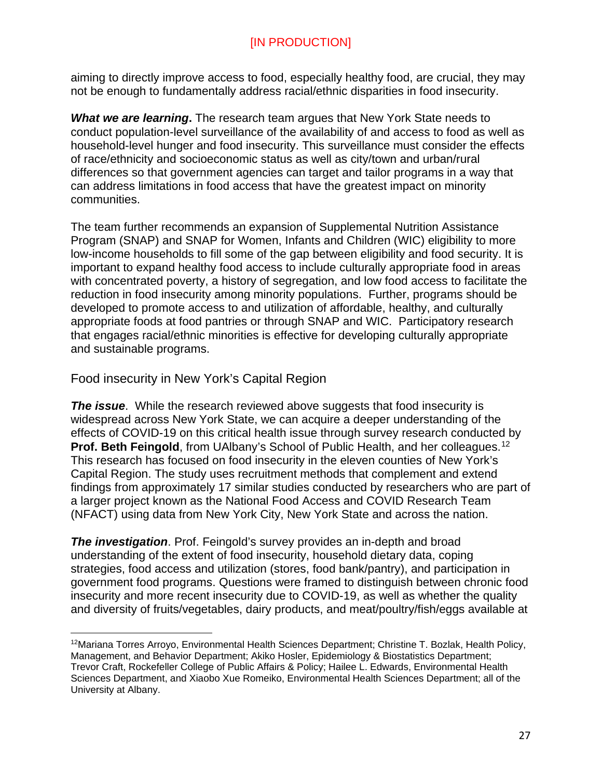aiming to directly improve access to food, especially healthy food, are crucial, they may not be enough to fundamentally address racial/ethnic disparities in food insecurity.

*What we are learning***.** The research team argues that New York State needs to conduct population-level surveillance of the availability of and access to food as well as household-level hunger and food insecurity. This surveillance must consider the effects of race/ethnicity and socioeconomic status as well as city/town and urban/rural differences so that government agencies can target and tailor programs in a way that can address limitations in food access that have the greatest impact on minority communities.

The team further recommends an expansion of Supplemental Nutrition Assistance Program (SNAP) and SNAP for Women, Infants and Children (WIC) eligibility to more low-income households to fill some of the gap between eligibility and food security. It is important to expand healthy food access to include culturally appropriate food in areas with concentrated poverty, a history of segregation, and low food access to facilitate the reduction in food insecurity among minority populations. Further, programs should be developed to promote access to and utilization of affordable, healthy, and culturally appropriate foods at food pantries or through SNAP and WIC. Participatory research that engages racial/ethnic minorities is effective for developing culturally appropriate and sustainable programs.

<span id="page-26-0"></span>Food insecurity in New York's Capital Region

 $\overline{a}$ 

*The issue*. While the research reviewed above suggests that food insecurity is widespread across New York State, we can acquire a deeper understanding of the effects of COVID-19 on this critical health issue through survey research conducted by **Prof. Beth Feingold**, from UAlbany's School of Public Health, and her colleagues. [12](#page-26-1) This research has focused on food insecurity in the eleven counties of New York's Capital Region. The study uses recruitment methods that complement and extend findings from approximately 17 similar studies conducted by researchers who are part of a larger project known as the National Food Access and COVID Research Team (NFACT) using data from New York City, New York State and across the nation.

**The investigation**. Prof. Feingold's survey provides an in-depth and broad understanding of the extent of food insecurity, household dietary data, coping strategies, food access and utilization (stores, food bank/pantry), and participation in government food programs. Questions were framed to distinguish between chronic food insecurity and more recent insecurity due to COVID-19, as well as whether the quality and diversity of fruits/vegetables, dairy products, and meat/poultry/fish/eggs available at

<span id="page-26-1"></span><sup>12</sup>Mariana Torres Arroyo, Environmental Health Sciences Department; Christine T. Bozlak, Health Policy, Management, and Behavior Department; Akiko Hosler, Epidemiology & Biostatistics Department; Trevor Craft, Rockefeller College of Public Affairs & Policy; Hailee L. Edwards, Environmental Health Sciences Department, and Xiaobo Xue Romeiko, Environmental Health Sciences Department; all of the University at Albany.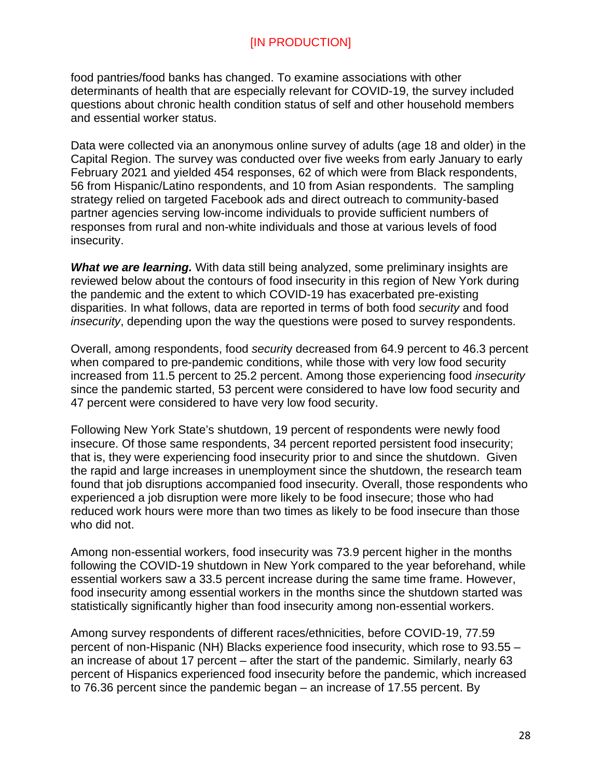food pantries/food banks has changed. To examine associations with other determinants of health that are especially relevant for COVID-19, the survey included questions about chronic health condition status of self and other household members and essential worker status.

Data were collected via an anonymous online survey of adults (age 18 and older) in the Capital Region. The survey was conducted over five weeks from early January to early February 2021 and yielded 454 responses, 62 of which were from Black respondents, 56 from Hispanic/Latino respondents, and 10 from Asian respondents. The sampling strategy relied on targeted Facebook ads and direct outreach to community-based partner agencies serving low-income individuals to provide sufficient numbers of responses from rural and non-white individuals and those at various levels of food insecurity.

**What we are learning.** With data still being analyzed, some preliminary insights are reviewed below about the contours of food insecurity in this region of New York during the pandemic and the extent to which COVID-19 has exacerbated pre-existing disparities. In what follows, data are reported in terms of both food *security* and food *insecurity*, depending upon the way the questions were posed to survey respondents.

Overall, among respondents, food *securit*y decreased from 64.9 percent to 46.3 percent when compared to pre-pandemic conditions, while those with very low food security increased from 11.5 percent to 25.2 percent. Among those experiencing food *insecurity* since the pandemic started, 53 percent were considered to have low food security and 47 percent were considered to have very low food security.

Following New York State's shutdown, 19 percent of respondents were newly food insecure. Of those same respondents, 34 percent reported persistent food insecurity; that is, they were experiencing food insecurity prior to and since the shutdown. Given the rapid and large increases in unemployment since the shutdown, the research team found that job disruptions accompanied food insecurity. Overall, those respondents who experienced a job disruption were more likely to be food insecure; those who had reduced work hours were more than two times as likely to be food insecure than those who did not.

Among non-essential workers, food insecurity was 73.9 percent higher in the months following the COVID-19 shutdown in New York compared to the year beforehand, while essential workers saw a 33.5 percent increase during the same time frame. However, food insecurity among essential workers in the months since the shutdown started was statistically significantly higher than food insecurity among non-essential workers.

Among survey respondents of different races/ethnicities, before COVID-19, 77.59 percent of non-Hispanic (NH) Blacks experience food insecurity, which rose to 93.55 – an increase of about 17 percent – after the start of the pandemic. Similarly, nearly 63 percent of Hispanics experienced food insecurity before the pandemic, which increased to 76.36 percent since the pandemic began – an increase of 17.55 percent. By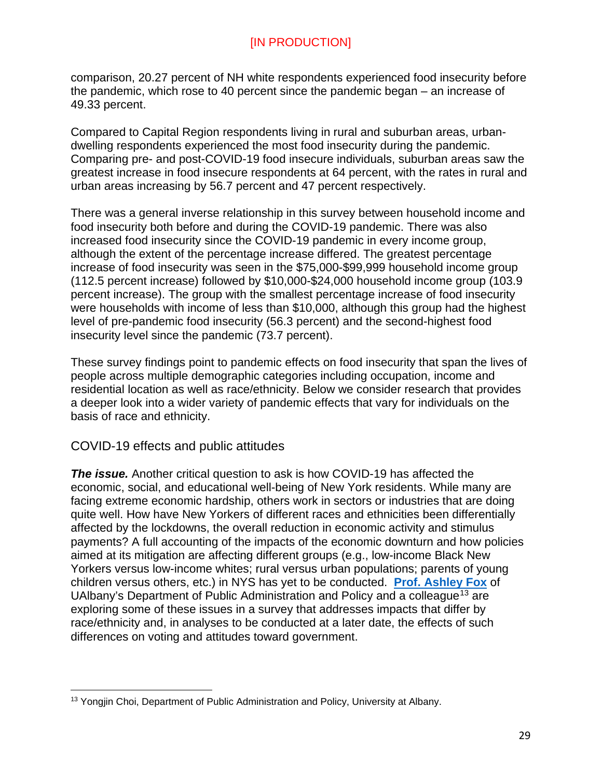comparison, 20.27 percent of NH white respondents experienced food insecurity before the pandemic, which rose to 40 percent since the pandemic began – an increase of 49.33 percent.

Compared to Capital Region respondents living in rural and suburban areas, urbandwelling respondents experienced the most food insecurity during the pandemic. Comparing pre- and post-COVID-19 food insecure individuals, suburban areas saw the greatest increase in food insecure respondents at 64 percent, with the rates in rural and urban areas increasing by 56.7 percent and 47 percent respectively.

There was a general inverse relationship in this survey between household income and food insecurity both before and during the COVID-19 pandemic. There was also increased food insecurity since the COVID-19 pandemic in every income group, although the extent of the percentage increase differed. The greatest percentage increase of food insecurity was seen in the \$75,000-\$99,999 household income group (112.5 percent increase) followed by \$10,000-\$24,000 household income group (103.9 percent increase). The group with the smallest percentage increase of food insecurity were households with income of less than \$10,000, although this group had the highest level of pre-pandemic food insecurity (56.3 percent) and the second-highest food insecurity level since the pandemic (73.7 percent).

These survey findings point to pandemic effects on food insecurity that span the lives of people across multiple demographic categories including occupation, income and residential location as well as race/ethnicity. Below we consider research that provides a deeper look into a wider variety of pandemic effects that vary for individuals on the basis of race and ethnicity.

#### <span id="page-28-0"></span>COVID-19 effects and public attitudes

 $\overline{a}$ 

*The issue.* Another critical question to ask is how COVID-19 has affected the economic, social, and educational well-being of New York residents. While many are facing extreme economic hardship, others work in sectors or industries that are doing quite well. How have New Yorkers of different races and ethnicities been differentially affected by the lockdowns, the overall reduction in economic activity and stimulus payments? A full accounting of the impacts of the economic downturn and how policies aimed at its mitigation are affecting different groups (e.g., low-income Black New Yorkers versus low-income whites; rural versus urban populations; parents of young children versus others, etc.) in NYS has yet to be conducted. **[Prof. Ashley Fox](https://scholarsarchive.library.albany.edu/covid_mhd_nys_white_papers/6/)** of UAIbany's Department of Public Administration and Policy and a colleague<sup>[13](#page-28-1)</sup> are exploring some of these issues in a survey that addresses impacts that differ by race/ethnicity and, in analyses to be conducted at a later date, the effects of such differences on voting and attitudes toward government.

<span id="page-28-1"></span><sup>&</sup>lt;sup>13</sup> Yongjin Choi, Department of Public Administration and Policy, University at Albany.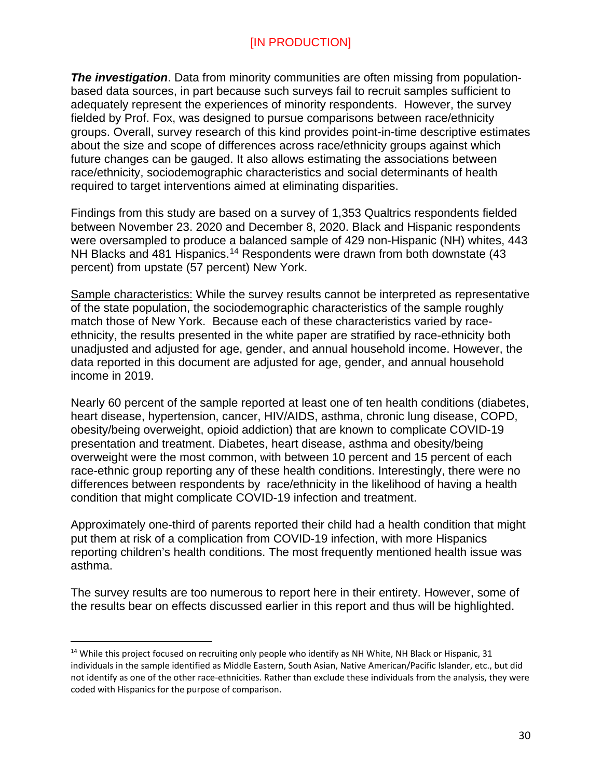*The investigation*. Data from minority communities are often missing from populationbased data sources, in part because such surveys fail to recruit samples sufficient to adequately represent the experiences of minority respondents. However, the survey fielded by Prof. Fox, was designed to pursue comparisons between race/ethnicity groups. Overall, survey research of this kind provides point-in-time descriptive estimates about the size and scope of differences across race/ethnicity groups against which future changes can be gauged. It also allows estimating the associations between race/ethnicity, sociodemographic characteristics and social determinants of health required to target interventions aimed at eliminating disparities.

Findings from this study are based on a survey of 1,353 Qualtrics respondents fielded between November 23. 2020 and December 8, 2020. Black and Hispanic respondents were oversampled to produce a balanced sample of 429 non-Hispanic (NH) whites, 443 NH Blacks and 481 Hispanics.<sup>[14](#page-29-0)</sup> Respondents were drawn from both downstate (43 percent) from upstate (57 percent) New York.

Sample characteristics: While the survey results cannot be interpreted as representative of the state population, the sociodemographic characteristics of the sample roughly match those of New York. Because each of these characteristics varied by raceethnicity, the results presented in the white paper are stratified by race-ethnicity both unadjusted and adjusted for age, gender, and annual household income. However, the data reported in this document are adjusted for age, gender, and annual household income in 2019.

Nearly 60 percent of the sample reported at least one of ten health conditions (diabetes, heart disease, hypertension, cancer, HIV/AIDS, asthma, chronic lung disease, COPD, obesity/being overweight, opioid addiction) that are known to complicate COVID-19 presentation and treatment. Diabetes, heart disease, asthma and obesity/being overweight were the most common, with between 10 percent and 15 percent of each race-ethnic group reporting any of these health conditions. Interestingly, there were no differences between respondents by race/ethnicity in the likelihood of having a health condition that might complicate COVID-19 infection and treatment.

Approximately one-third of parents reported their child had a health condition that might put them at risk of a complication from COVID-19 infection, with more Hispanics reporting children's health conditions. The most frequently mentioned health issue was asthma.

The survey results are too numerous to report here in their entirety. However, some of the results bear on effects discussed earlier in this report and thus will be highlighted.

<span id="page-29-0"></span> $14$  While this project focused on recruiting only people who identify as NH White, NH Black or Hispanic, 31 individuals in the sample identified as Middle Eastern, South Asian, Native American/Pacific Islander, etc., but did not identify as one of the other race-ethnicities. Rather than exclude these individuals from the analysis, they were coded with Hispanics for the purpose of comparison.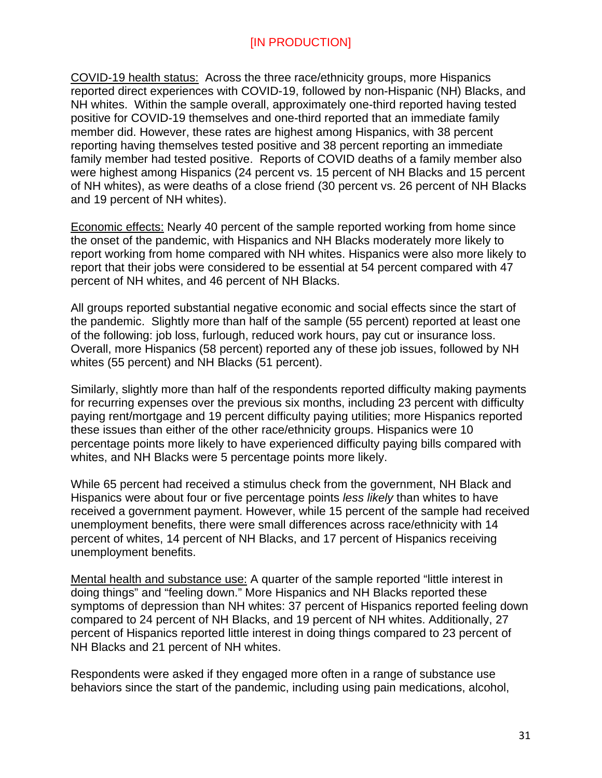COVID-19 health status: Across the three race/ethnicity groups, more Hispanics reported direct experiences with COVID-19, followed by non-Hispanic (NH) Blacks, and NH whites. Within the sample overall, approximately one-third reported having tested positive for COVID-19 themselves and one-third reported that an immediate family member did. However, these rates are highest among Hispanics, with 38 percent reporting having themselves tested positive and 38 percent reporting an immediate family member had tested positive. Reports of COVID deaths of a family member also were highest among Hispanics (24 percent vs. 15 percent of NH Blacks and 15 percent of NH whites), as were deaths of a close friend (30 percent vs. 26 percent of NH Blacks and 19 percent of NH whites).

Economic effects: Nearly 40 percent of the sample reported working from home since the onset of the pandemic, with Hispanics and NH Blacks moderately more likely to report working from home compared with NH whites. Hispanics were also more likely to report that their jobs were considered to be essential at 54 percent compared with 47 percent of NH whites, and 46 percent of NH Blacks.

All groups reported substantial negative economic and social effects since the start of the pandemic. Slightly more than half of the sample (55 percent) reported at least one of the following: job loss, furlough, reduced work hours, pay cut or insurance loss. Overall, more Hispanics (58 percent) reported any of these job issues, followed by NH whites (55 percent) and NH Blacks (51 percent).

Similarly, slightly more than half of the respondents reported difficulty making payments for recurring expenses over the previous six months, including 23 percent with difficulty paying rent/mortgage and 19 percent difficulty paying utilities; more Hispanics reported these issues than either of the other race/ethnicity groups. Hispanics were 10 percentage points more likely to have experienced difficulty paying bills compared with whites, and NH Blacks were 5 percentage points more likely.

While 65 percent had received a stimulus check from the government, NH Black and Hispanics were about four or five percentage points *less likely* than whites to have received a government payment. However, while 15 percent of the sample had received unemployment benefits, there were small differences across race/ethnicity with 14 percent of whites, 14 percent of NH Blacks, and 17 percent of Hispanics receiving unemployment benefits.

Mental health and substance use: A quarter of the sample reported "little interest in doing things" and "feeling down." More Hispanics and NH Blacks reported these symptoms of depression than NH whites: 37 percent of Hispanics reported feeling down compared to 24 percent of NH Blacks, and 19 percent of NH whites. Additionally, 27 percent of Hispanics reported little interest in doing things compared to 23 percent of NH Blacks and 21 percent of NH whites.

Respondents were asked if they engaged more often in a range of substance use behaviors since the start of the pandemic, including using pain medications, alcohol,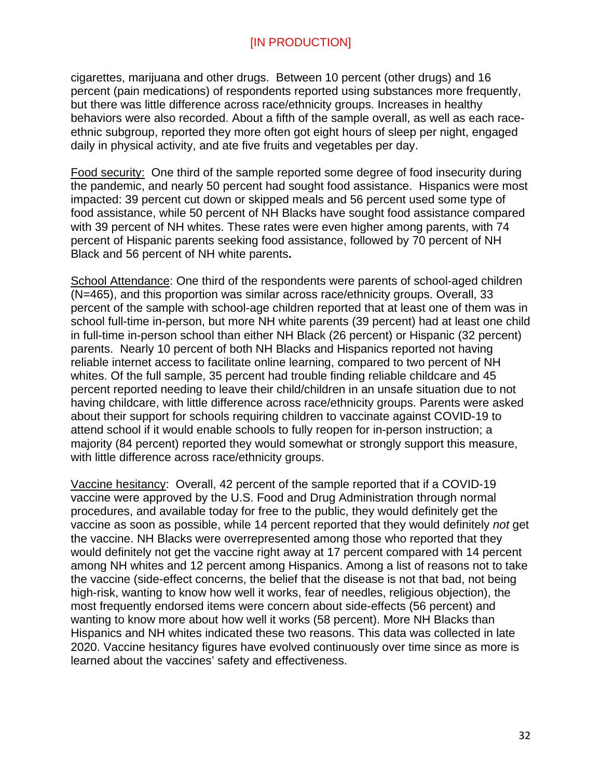cigarettes, marijuana and other drugs. Between 10 percent (other drugs) and 16 percent (pain medications) of respondents reported using substances more frequently, but there was little difference across race/ethnicity groups. Increases in healthy behaviors were also recorded. About a fifth of the sample overall, as well as each raceethnic subgroup, reported they more often got eight hours of sleep per night, engaged daily in physical activity, and ate five fruits and vegetables per day.

Food security: One third of the sample reported some degree of food insecurity during the pandemic, and nearly 50 percent had sought food assistance. Hispanics were most impacted: 39 percent cut down or skipped meals and 56 percent used some type of food assistance, while 50 percent of NH Blacks have sought food assistance compared with 39 percent of NH whites. These rates were even higher among parents, with 74 percent of Hispanic parents seeking food assistance, followed by 70 percent of NH Black and 56 percent of NH white parents**.** 

School Attendance: One third of the respondents were parents of school-aged children (N=465), and this proportion was similar across race/ethnicity groups. Overall, 33 percent of the sample with school-age children reported that at least one of them was in school full-time in-person, but more NH white parents (39 percent) had at least one child in full-time in-person school than either NH Black (26 percent) or Hispanic (32 percent) parents. Nearly 10 percent of both NH Blacks and Hispanics reported not having reliable internet access to facilitate online learning, compared to two percent of NH whites. Of the full sample, 35 percent had trouble finding reliable childcare and 45 percent reported needing to leave their child/children in an unsafe situation due to not having childcare, with little difference across race/ethnicity groups. Parents were asked about their support for schools requiring children to vaccinate against COVID-19 to attend school if it would enable schools to fully reopen for in-person instruction; a majority (84 percent) reported they would somewhat or strongly support this measure, with little difference across race/ethnicity groups.

Vaccine hesitancy:Overall, 42 percent of the sample reported that if a COVID-19 vaccine were approved by the U.S. Food and Drug Administration through normal procedures, and available today for free to the public, they would definitely get the vaccine as soon as possible, while 14 percent reported that they would definitely *not* get the vaccine. NH Blacks were overrepresented among those who reported that they would definitely not get the vaccine right away at 17 percent compared with 14 percent among NH whites and 12 percent among Hispanics. Among a list of reasons not to take the vaccine (side-effect concerns, the belief that the disease is not that bad, not being high-risk, wanting to know how well it works, fear of needles, religious objection), the most frequently endorsed items were concern about side-effects (56 percent) and wanting to know more about how well it works (58 percent). More NH Blacks than Hispanics and NH whites indicated these two reasons. This data was collected in late 2020. Vaccine hesitancy figures have evolved continuously over time since as more is learned about the vaccines' safety and effectiveness.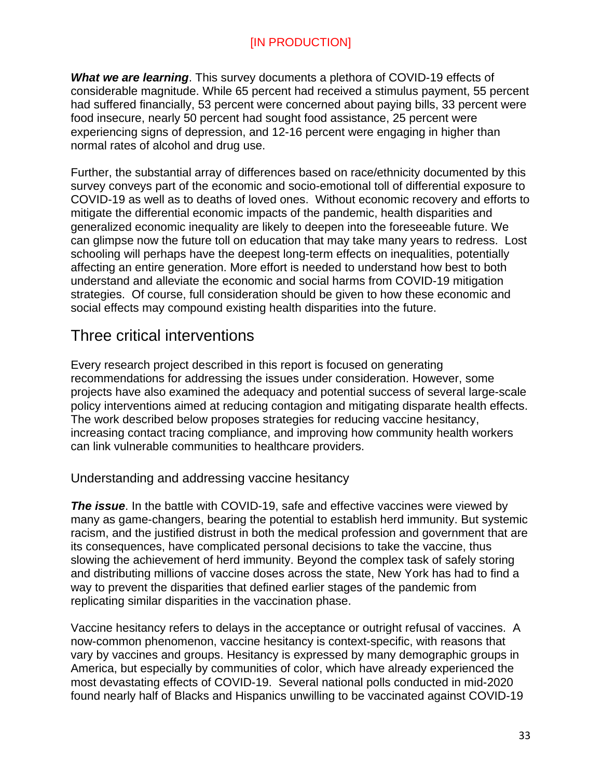*What we are learning*. This survey documents a plethora of COVID-19 effects of considerable magnitude. While 65 percent had received a stimulus payment, 55 percent had suffered financially, 53 percent were concerned about paying bills, 33 percent were food insecure, nearly 50 percent had sought food assistance, 25 percent were experiencing signs of depression, and 12-16 percent were engaging in higher than normal rates of alcohol and drug use.

Further, the substantial array of differences based on race/ethnicity documented by this survey conveys part of the economic and socio-emotional toll of differential exposure to COVID-19 as well as to deaths of loved ones. Without economic recovery and efforts to mitigate the differential economic impacts of the pandemic, health disparities and generalized economic inequality are likely to deepen into the foreseeable future. We can glimpse now the future toll on education that may take many years to redress. Lost schooling will perhaps have the deepest long-term effects on inequalities, potentially affecting an entire generation. More effort is needed to understand how best to both understand and alleviate the economic and social harms from COVID-19 mitigation strategies. Of course, full consideration should be given to how these economic and social effects may compound existing health disparities into the future.

# <span id="page-32-0"></span>Three critical interventions

Every research project described in this report is focused on generating recommendations for addressing the issues under consideration. However, some projects have also examined the adequacy and potential success of several large-scale policy interventions aimed at reducing contagion and mitigating disparate health effects. The work described below proposes strategies for reducing vaccine hesitancy, increasing contact tracing compliance, and improving how community health workers can link vulnerable communities to healthcare providers.

<span id="page-32-1"></span>Understanding and addressing vaccine hesitancy

*The issue*. In the battle with COVID-19, safe and effective vaccines were viewed by many as game-changers, bearing the potential to establish herd immunity. But systemic racism, and the justified distrust in both the medical profession and government that are its consequences, have complicated personal decisions to take the vaccine, thus slowing the achievement of herd immunity. Beyond the complex task of safely storing and distributing millions of vaccine doses across the state, New York has had to find a way to prevent the disparities that defined earlier stages of the pandemic from replicating similar disparities in the vaccination phase.

Vaccine hesitancy refers to delays in the acceptance or outright refusal of vaccines. A now-common phenomenon, vaccine hesitancy is context-specific, with reasons that vary by vaccines and groups. Hesitancy is expressed by many demographic groups in America, but especially by communities of color, which have already experienced the most devastating effects of COVID-19. Several national polls conducted in mid-2020 found nearly half of Blacks and Hispanics unwilling to be vaccinated against COVID-19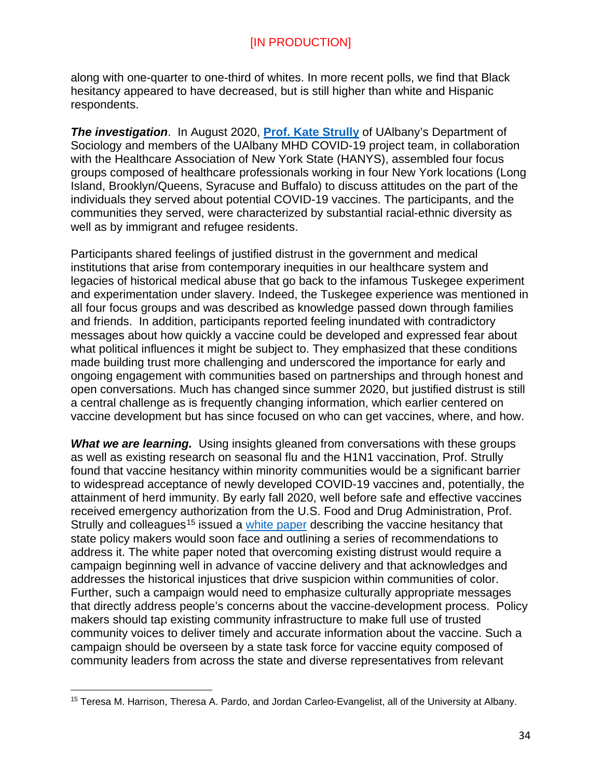along with one-quarter to one-third of whites. In more recent polls, we find that Black hesitancy appeared to have decreased, but is still higher than white and Hispanic respondents.

**The investigation.** In August 2020, **[Prof. Kate Strully](https://www.albany.edu/communicationsmarketing/covid-19-documents/COVID-19-Vaccine-Hesitancy-White-Paper-121620.pdf)** of UAlbany's Department of Sociology and members of the UAlbany MHD COVID-19 project team, in collaboration with the Healthcare Association of New York State (HANYS), assembled four focus groups composed of healthcare professionals working in four New York locations (Long Island, Brooklyn/Queens, Syracuse and Buffalo) to discuss attitudes on the part of the individuals they served about potential COVID-19 vaccines. The participants, and the communities they served, were characterized by substantial racial-ethnic diversity as well as by immigrant and refugee residents.

Participants shared feelings of justified distrust in the government and medical institutions that arise from contemporary inequities in our healthcare system and legacies of historical medical abuse that go back to the infamous Tuskegee experiment and experimentation under slavery. Indeed, the Tuskegee experience was mentioned in all four focus groups and was described as knowledge passed down through families and friends. In addition, participants reported feeling inundated with contradictory messages about how quickly a vaccine could be developed and expressed fear about what political influences it might be subject to. They emphasized that these conditions made building trust more challenging and underscored the importance for early and ongoing engagement with communities based on partnerships and through honest and open conversations. Much has changed since summer 2020, but justified distrust is still a central challenge as is frequently changing information, which earlier centered on vaccine development but has since focused on who can get vaccines, where, and how.

**What we are learning.** Using insights gleaned from conversations with these groups as well as existing research on seasonal flu and the H1N1 vaccination, Prof. Strully found that vaccine hesitancy within minority communities would be a significant barrier to widespread acceptance of newly developed COVID-19 vaccines and, potentially, the attainment of herd immunity. By early fall 2020, well before safe and effective vaccines received emergency authorization from the U.S. Food and Drug Administration, Prof. Strully and colleagues<sup>[15](#page-33-0)</sup> issued a [white paper](https://www.albany.edu/communicationsmarketing/covid-19-documents/COVID-19-Vaccine-Hesitancy-White-Paper-121620.pdf) describing the vaccine hesitancy that state policy makers would soon face and outlining a series of recommendations to address it. The white paper noted that overcoming existing distrust would require a campaign beginning well in advance of vaccine delivery and that acknowledges and addresses the historical injustices that drive suspicion within communities of color. Further, such a campaign would need to emphasize culturally appropriate messages that directly address people's concerns about the vaccine-development process. Policy makers should tap existing community infrastructure to make full use of trusted community voices to deliver timely and accurate information about the vaccine. Such a campaign should be overseen by a state task force for vaccine equity composed of community leaders from across the state and diverse representatives from relevant

 $\overline{a}$ 

<span id="page-33-0"></span><sup>15</sup> Teresa M. Harrison, Theresa A. Pardo, and Jordan Carleo-Evangelist, all of the University at Albany.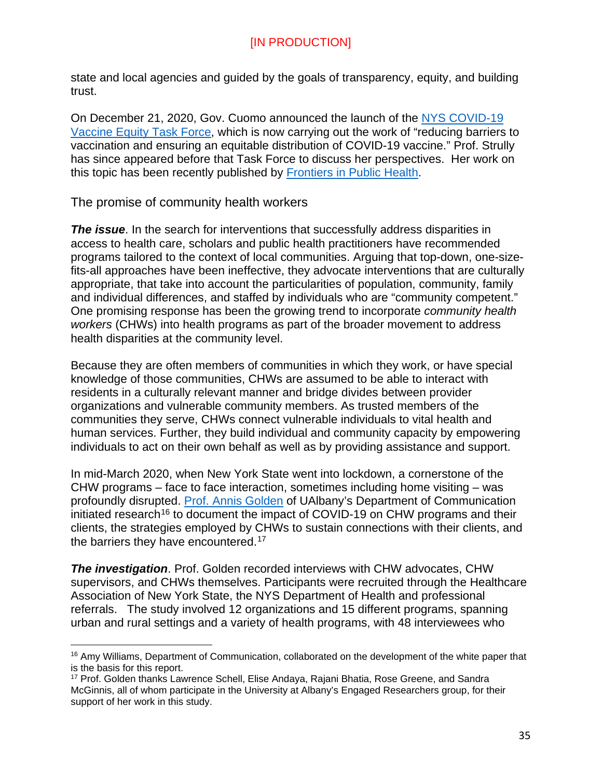state and local agencies and guided by the goals of transparency, equity, and building trust.

On December 21, 2020, Gov. Cuomo announced the launch of the [NYS COVID-19](https://covid19vaccine.health.ny.gov/covid-19-vaccine-equity-task-force)  [Vaccine Equity Task Force,](https://covid19vaccine.health.ny.gov/covid-19-vaccine-equity-task-force) which is now carrying out the work of "reducing barriers to vaccination and ensuring an equitable distribution of COVID-19 vaccine." Prof. Strully has since appeared before that Task Force to discuss her perspectives. Her work on this topic has been recently published by [Frontiers in Public Health.](https://www.frontiersin.org/articles/10.3389/fpubh.2021.645268/full)

<span id="page-34-0"></span>The promise of community health workers

*The issue*. In the search for interventions that successfully address disparities in access to health care, scholars and public health practitioners have recommended programs tailored to the context of local communities. Arguing that top-down, one-sizefits-all approaches have been ineffective, they advocate interventions that are culturally appropriate, that take into account the particularities of population, community, family and individual differences, and staffed by individuals who are "community competent." One promising response has been the growing trend to incorporate *community health workers* (CHWs) into health programs as part of the broader movement to address health disparities at the community level.

Because they are often members of communities in which they work, or have special knowledge of those communities, CHWs are assumed to be able to interact with residents in a culturally relevant manner and bridge divides between provider organizations and vulnerable community members. As trusted members of the communities they serve, CHWs connect vulnerable individuals to vital health and human services. Further, they build individual and community capacity by empowering individuals to act on their own behalf as well as by providing assistance and support.

In mid-March 2020, when New York State went into lockdown, a cornerstone of the CHW programs – face to face interaction, sometimes including home visiting – was profoundly disrupted. [Prof. Annis Golden](https://scholarsarchive.library.albany.edu/covid_mhd_nys_white_papers/1/) of UAlbany's Department of Communication initiated research<sup>[16](#page-34-1)</sup> to document the impact of COVID-19 on CHW programs and their clients, the strategies employed by CHWs to sustain connections with their clients, and the barriers they have encountered.<sup>[17](#page-34-2)</sup>

*The investigation*. Prof. Golden recorded interviews with CHW advocates, CHW supervisors, and CHWs themselves. Participants were recruited through the Healthcare Association of New York State, the NYS Department of Health and professional referrals. The study involved 12 organizations and 15 different programs, spanning urban and rural settings and a variety of health programs, with 48 interviewees who

<span id="page-34-1"></span> $\overline{a}$ <sup>16</sup> Amy Williams, Department of Communication, collaborated on the development of the white paper that is the basis for this report.

<span id="page-34-2"></span><sup>17</sup> Prof. Golden thanks Lawrence Schell, Elise Andaya, Rajani Bhatia, Rose Greene, and Sandra McGinnis, all of whom participate in the University at Albany's Engaged Researchers group, for their support of her work in this study.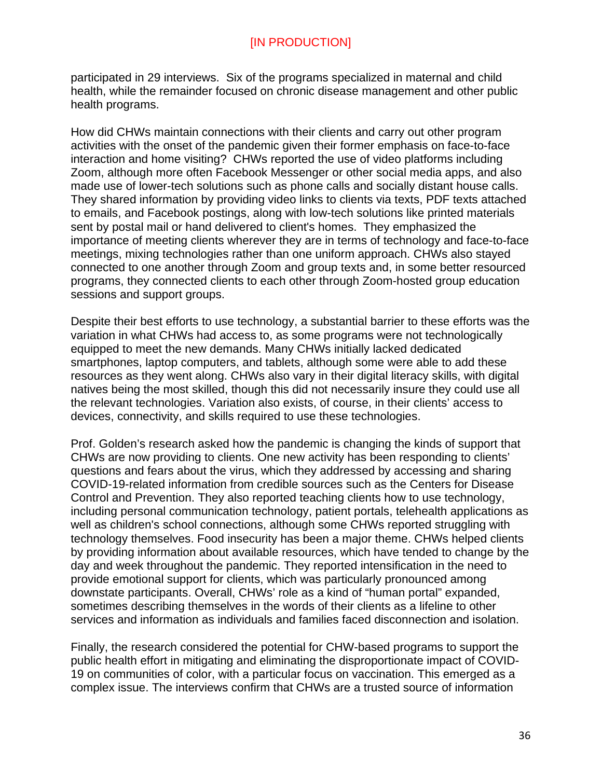participated in 29 interviews. Six of the programs specialized in maternal and child health, while the remainder focused on chronic disease management and other public health programs.

How did CHWs maintain connections with their clients and carry out other program activities with the onset of the pandemic given their former emphasis on face-to-face interaction and home visiting? CHWs reported the use of video platforms including Zoom, although more often Facebook Messenger or other social media apps, and also made use of lower-tech solutions such as phone calls and socially distant house calls. They shared information by providing video links to clients via texts, PDF texts attached to emails, and Facebook postings, along with low-tech solutions like printed materials sent by postal mail or hand delivered to client's homes. They emphasized the importance of meeting clients wherever they are in terms of technology and face-to-face meetings, mixing technologies rather than one uniform approach. CHWs also stayed connected to one another through Zoom and group texts and, in some better resourced programs, they connected clients to each other through Zoom-hosted group education sessions and support groups.

Despite their best efforts to use technology, a substantial barrier to these efforts was the variation in what CHWs had access to, as some programs were not technologically equipped to meet the new demands. Many CHWs initially lacked dedicated smartphones, laptop computers, and tablets, although some were able to add these resources as they went along. CHWs also vary in their digital literacy skills, with digital natives being the most skilled, though this did not necessarily insure they could use all the relevant technologies. Variation also exists, of course, in their clients' access to devices, connectivity, and skills required to use these technologies.

Prof. Golden's research asked how the pandemic is changing the kinds of support that CHWs are now providing to clients. One new activity has been responding to clients' questions and fears about the virus, which they addressed by accessing and sharing COVID-19-related information from credible sources such as the Centers for Disease Control and Prevention. They also reported teaching clients how to use technology, including personal communication technology, patient portals, telehealth applications as well as children's school connections, although some CHWs reported struggling with technology themselves. Food insecurity has been a major theme. CHWs helped clients by providing information about available resources, which have tended to change by the day and week throughout the pandemic. They reported intensification in the need to provide emotional support for clients, which was particularly pronounced among downstate participants. Overall, CHWs' role as a kind of "human portal" expanded, sometimes describing themselves in the words of their clients as a lifeline to other services and information as individuals and families faced disconnection and isolation.

Finally, the research considered the potential for CHW-based programs to support the public health effort in mitigating and eliminating the disproportionate impact of COVID-19 on communities of color, with a particular focus on vaccination. This emerged as a complex issue. The interviews confirm that CHWs are a trusted source of information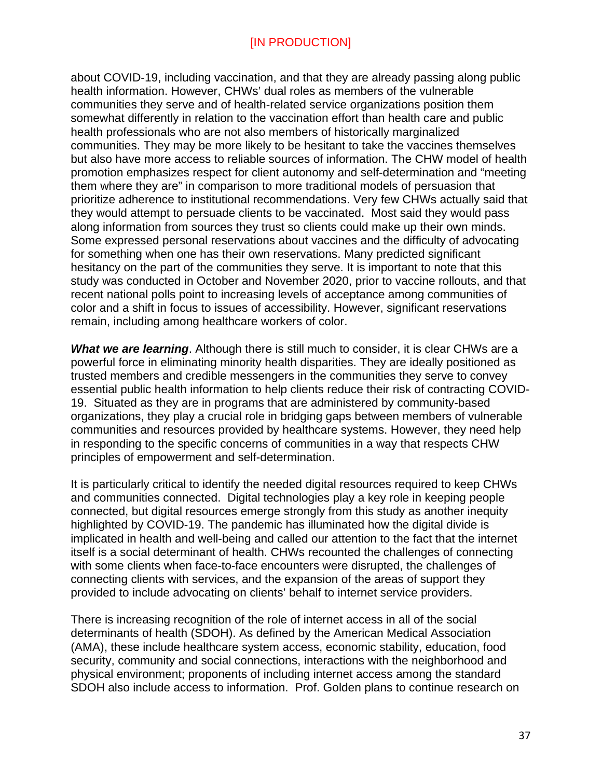about COVID-19, including vaccination, and that they are already passing along public health information. However, CHWs' dual roles as members of the vulnerable communities they serve and of health-related service organizations position them somewhat differently in relation to the vaccination effort than health care and public health professionals who are not also members of historically marginalized communities. They may be more likely to be hesitant to take the vaccines themselves but also have more access to reliable sources of information. The CHW model of health promotion emphasizes respect for client autonomy and self-determination and "meeting them where they are" in comparison to more traditional models of persuasion that prioritize adherence to institutional recommendations. Very few CHWs actually said that they would attempt to persuade clients to be vaccinated. Most said they would pass along information from sources they trust so clients could make up their own minds. Some expressed personal reservations about vaccines and the difficulty of advocating for something when one has their own reservations. Many predicted significant hesitancy on the part of the communities they serve. It is important to note that this study was conducted in October and November 2020, prior to vaccine rollouts, and that recent national polls point to increasing levels of acceptance among communities of color and a shift in focus to issues of accessibility. However, significant reservations remain, including among healthcare workers of color.

*What we are learning*. Although there is still much to consider, it is clear CHWs are a powerful force in eliminating minority health disparities. They are ideally positioned as trusted members and credible messengers in the communities they serve to convey essential public health information to help clients reduce their risk of contracting COVID-19. Situated as they are in programs that are administered by community-based organizations, they play a crucial role in bridging gaps between members of vulnerable communities and resources provided by healthcare systems. However, they need help in responding to the specific concerns of communities in a way that respects CHW principles of empowerment and self-determination.

It is particularly critical to identify the needed digital resources required to keep CHWs and communities connected. Digital technologies play a key role in keeping people connected, but digital resources emerge strongly from this study as another inequity highlighted by COVID-19. The pandemic has illuminated how the digital divide is implicated in health and well-being and called our attention to the fact that the internet itself is a social determinant of health. CHWs recounted the challenges of connecting with some clients when face-to-face encounters were disrupted, the challenges of connecting clients with services, and the expansion of the areas of support they provided to include advocating on clients' behalf to internet service providers.

There is increasing recognition of the role of internet access in all of the social determinants of health (SDOH). As defined by the American Medical Association (AMA), these include healthcare system access, economic stability, education, food security, community and social connections, interactions with the neighborhood and physical environment; proponents of including internet access among the standard SDOH also include access to information. Prof. Golden plans to continue research on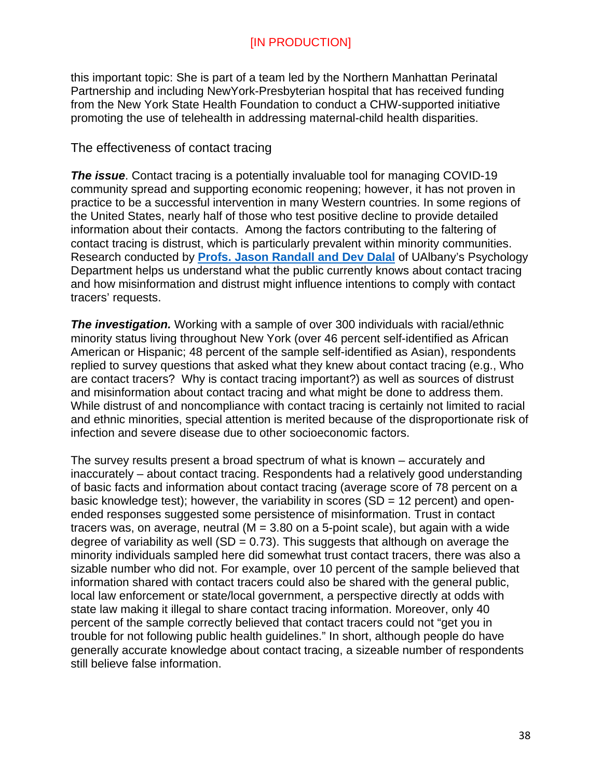this important topic: She is part of a team led by the Northern Manhattan Perinatal Partnership and including NewYork-Presbyterian hospital that has received funding from the New York State Health Foundation to conduct a CHW-supported initiative promoting the use of telehealth in addressing maternal-child health disparities.

#### <span id="page-37-0"></span>The effectiveness of contact tracing

**The issue**. Contact tracing is a potentially invaluable tool for managing COVID-19 community spread and supporting economic reopening; however, it has not proven in practice to be a successful intervention in many Western countries. In some regions of the United States, nearly half of those who test positive decline to provide detailed information about their contacts. Among the factors contributing to the faltering of contact tracing is distrust, which is particularly prevalent within minority communities. Research conducted by **[Profs. Jason Randall and Dev Dalal](https://scholarsarchive.library.albany.edu/covid_mhd_nys_white_papers/2/)** of UAlbany's Psychology Department helps us understand what the public currently knows about contact tracing and how misinformation and distrust might influence intentions to comply with contact tracers' requests.

**The investigation.** Working with a sample of over 300 individuals with racial/ethnic minority status living throughout New York (over 46 percent self-identified as African American or Hispanic; 48 percent of the sample self-identified as Asian), respondents replied to survey questions that asked what they knew about contact tracing (e.g., Who are contact tracers? Why is contact tracing important?) as well as sources of distrust and misinformation about contact tracing and what might be done to address them. While distrust of and noncompliance with contact tracing is certainly not limited to racial and ethnic minorities, special attention is merited because of the disproportionate risk of infection and severe disease due to other socioeconomic factors.

The survey results present a broad spectrum of what is known – accurately and inaccurately – about contact tracing. Respondents had a relatively good understanding of basic facts and information about contact tracing (average score of 78 percent on a basic knowledge test); however, the variability in scores  $(SD = 12$  percent) and openended responses suggested some persistence of misinformation. Trust in contact tracers was, on average, neutral  $(M = 3.80$  on a 5-point scale), but again with a wide degree of variability as well (SD =  $0.73$ ). This suggests that although on average the minority individuals sampled here did somewhat trust contact tracers, there was also a sizable number who did not. For example, over 10 percent of the sample believed that information shared with contact tracers could also be shared with the general public, local law enforcement or state/local government, a perspective directly at odds with state law making it illegal to share contact tracing information. Moreover, only 40 percent of the sample correctly believed that contact tracers could not "get you in trouble for not following public health guidelines." In short, although people do have generally accurate knowledge about contact tracing, a sizeable number of respondents still believe false information.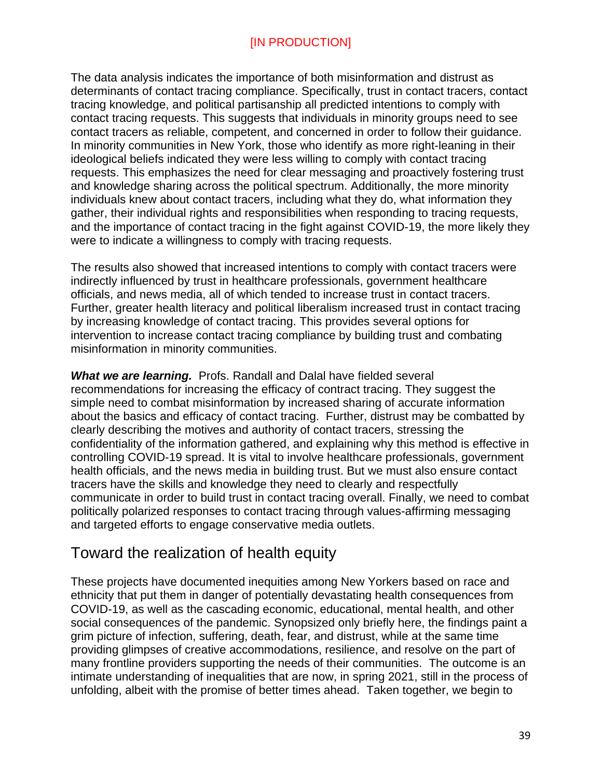The data analysis indicates the importance of both misinformation and distrust as determinants of contact tracing compliance. Specifically, trust in contact tracers, contact tracing knowledge, and political partisanship all predicted intentions to comply with contact tracing requests. This suggests that individuals in minority groups need to see contact tracers as reliable, competent, and concerned in order to follow their guidance. In minority communities in New York, those who identify as more right-leaning in their ideological beliefs indicated they were less willing to comply with contact tracing requests. This emphasizes the need for clear messaging and proactively fostering trust and knowledge sharing across the political spectrum. Additionally, the more minority individuals knew about contact tracers, including what they do, what information they gather, their individual rights and responsibilities when responding to tracing requests, and the importance of contact tracing in the fight against COVID-19, the more likely they were to indicate a willingness to comply with tracing requests.

The results also showed that increased intentions to comply with contact tracers were indirectly influenced by trust in healthcare professionals, government healthcare officials, and news media, all of which tended to increase trust in contact tracers. Further, greater health literacy and political liberalism increased trust in contact tracing by increasing knowledge of contact tracing. This provides several options for intervention to increase contact tracing compliance by building trust and combating misinformation in minority communities.

**What we are learning.** Profs. Randall and Dalal have fielded several recommendations for increasing the efficacy of contract tracing. They suggest the simple need to combat misinformation by increased sharing of accurate information about the basics and efficacy of contact tracing. Further, distrust may be combatted by clearly describing the motives and authority of contact tracers, stressing the confidentiality of the information gathered, and explaining why this method is effective in controlling COVID-19 spread. It is vital to involve healthcare professionals, government health officials, and the news media in building trust. But we must also ensure contact tracers have the skills and knowledge they need to clearly and respectfully communicate in order to build trust in contact tracing overall. Finally, we need to combat politically polarized responses to contact tracing through values-affirming messaging and targeted efforts to engage conservative media outlets.

# <span id="page-38-0"></span>Toward the realization of health equity

These projects have documented inequities among New Yorkers based on race and ethnicity that put them in danger of potentially devastating health consequences from COVID-19, as well as the cascading economic, educational, mental health, and other social consequences of the pandemic. Synopsized only briefly here, the findings paint a grim picture of infection, suffering, death, fear, and distrust, while at the same time providing glimpses of creative accommodations, resilience, and resolve on the part of many frontline providers supporting the needs of their communities. The outcome is an intimate understanding of inequalities that are now, in spring 2021, still in the process of unfolding, albeit with the promise of better times ahead. Taken together, we begin to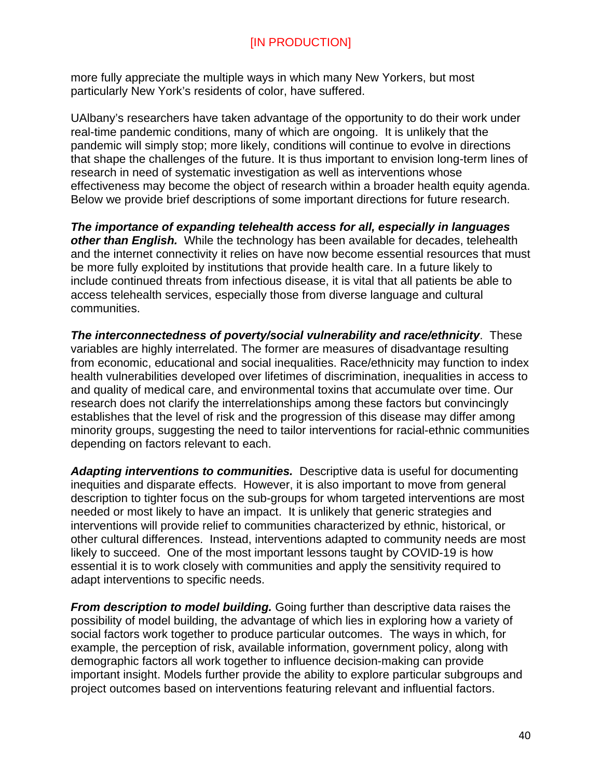more fully appreciate the multiple ways in which many New Yorkers, but most particularly New York's residents of color, have suffered.

UAlbany's researchers have taken advantage of the opportunity to do their work under real-time pandemic conditions, many of which are ongoing. It is unlikely that the pandemic will simply stop; more likely, conditions will continue to evolve in directions that shape the challenges of the future. It is thus important to envision long-term lines of research in need of systematic investigation as well as interventions whose effectiveness may become the object of research within a broader health equity agenda. Below we provide brief descriptions of some important directions for future research.

*The importance of expanding telehealth access for all, especially in languages other than English.* While the technology has been available for decades, telehealth and the internet connectivity it relies on have now become essential resources that must be more fully exploited by institutions that provide health care. In a future likely to include continued threats from infectious disease, it is vital that all patients be able to access telehealth services, especially those from diverse language and cultural communities.

*The interconnectedness of poverty/social vulnerability and race/ethnicity*. These variables are highly interrelated. The former are measures of disadvantage resulting from economic, educational and social inequalities. Race/ethnicity may function to index health vulnerabilities developed over lifetimes of discrimination, inequalities in access to and quality of medical care, and environmental toxins that accumulate over time. Our research does not clarify the interrelationships among these factors but convincingly establishes that the level of risk and the progression of this disease may differ among minority groups, suggesting the need to tailor interventions for racial-ethnic communities depending on factors relevant to each.

*Adapting interventions to communities.* Descriptive data is useful for documenting inequities and disparate effects. However, it is also important to move from general description to tighter focus on the sub-groups for whom targeted interventions are most needed or most likely to have an impact. It is unlikely that generic strategies and interventions will provide relief to communities characterized by ethnic, historical, or other cultural differences. Instead, interventions adapted to community needs are most likely to succeed. One of the most important lessons taught by COVID-19 is how essential it is to work closely with communities and apply the sensitivity required to adapt interventions to specific needs.

*From description to model building.* Going further than descriptive data raises the possibility of model building, the advantage of which lies in exploring how a variety of social factors work together to produce particular outcomes. The ways in which, for example, the perception of risk, available information, government policy, along with demographic factors all work together to influence decision-making can provide important insight. Models further provide the ability to explore particular subgroups and project outcomes based on interventions featuring relevant and influential factors.